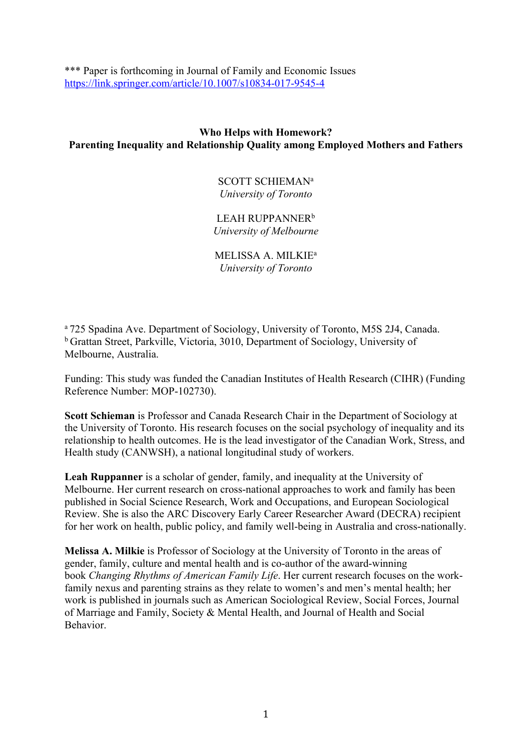\*\*\* Paper is forthcoming in Journal of Family and Economic Issues https://link.springer.com/article/10.1007/s10834-017-9545-4

# **Who Helps with Homework? Parenting Inequality and Relationship Quality among Employed Mothers and Fathers**

SCOTT SCHIEMAN<sup>a</sup> *University of Toronto*

LEAH RUPPANNER<sup>b</sup> *University of Melbourne*

MELISSA A. MILKIEa *University of Toronto*

<sup>a</sup> 725 Spadina Ave. Department of Sociology, University of Toronto, M5S 2J4, Canada. b Grattan Street, Parkville, Victoria, 3010, Department of Sociology, University of Melbourne, Australia.

Funding: This study was funded the Canadian Institutes of Health Research (CIHR) (Funding Reference Number: MOP-102730).

**Scott Schieman** is Professor and Canada Research Chair in the Department of Sociology at the University of Toronto. His research focuses on the social psychology of inequality and its relationship to health outcomes. He is the lead investigator of the Canadian Work, Stress, and Health study (CANWSH), a national longitudinal study of workers.

**Leah Ruppanner** is a scholar of gender, family, and inequality at the University of Melbourne. Her current research on cross-national approaches to work and family has been published in Social Science Research, Work and Occupations, and European Sociological Review. She is also the ARC Discovery Early Career Researcher Award (DECRA) recipient for her work on health, public policy, and family well-being in Australia and cross-nationally.

**Melissa A. Milkie** is Professor of Sociology at the University of Toronto in the areas of gender, family, culture and mental health and is co-author of the award-winning book *Changing Rhythms of American Family Life*. Her current research focuses on the workfamily nexus and parenting strains as they relate to women's and men's mental health; her work is published in journals such as American Sociological Review, Social Forces, Journal of Marriage and Family, Society & Mental Health, and Journal of Health and Social Behavior.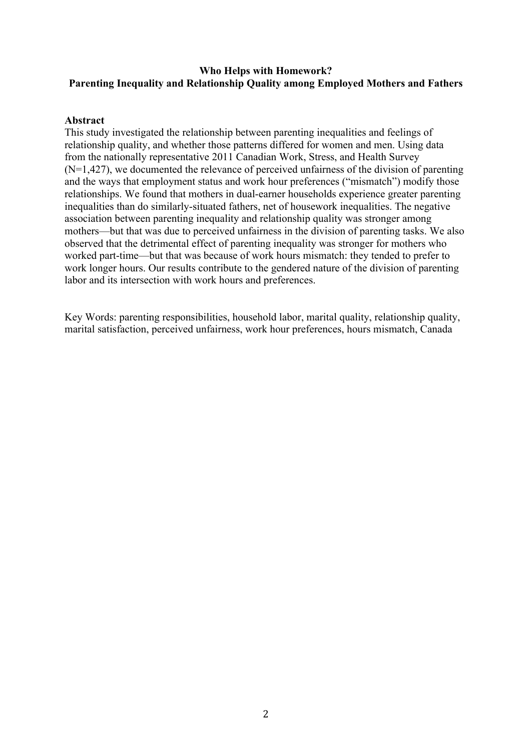# **Who Helps with Homework? Parenting Inequality and Relationship Quality among Employed Mothers and Fathers**

## **Abstract**

This study investigated the relationship between parenting inequalities and feelings of relationship quality, and whether those patterns differed for women and men. Using data from the nationally representative 2011 Canadian Work, Stress, and Health Survey  $(N=1,427)$ , we documented the relevance of perceived unfairness of the division of parenting and the ways that employment status and work hour preferences ("mismatch") modify those relationships. We found that mothers in dual-earner households experience greater parenting inequalities than do similarly-situated fathers, net of housework inequalities. The negative association between parenting inequality and relationship quality was stronger among mothers—but that was due to perceived unfairness in the division of parenting tasks. We also observed that the detrimental effect of parenting inequality was stronger for mothers who worked part-time—but that was because of work hours mismatch: they tended to prefer to work longer hours. Our results contribute to the gendered nature of the division of parenting labor and its intersection with work hours and preferences.

Key Words: parenting responsibilities, household labor, marital quality, relationship quality, marital satisfaction, perceived unfairness, work hour preferences, hours mismatch, Canada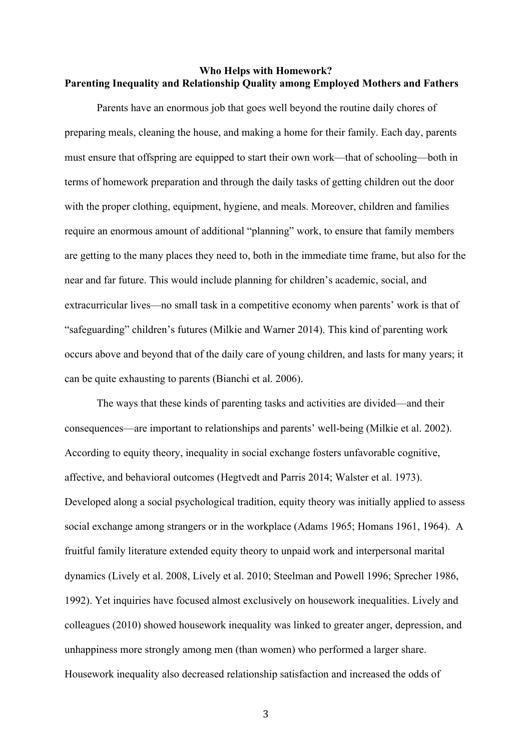## **Who Helps with Homework? Parenting Inequality and Relationship Quality among Employed Mothers and Fathers**

Parents have an enormous job that goes well beyond the routine daily chores of preparing meals, cleaning the house, and making a home for their family. Each day, parents must ensure that offspring are equipped to start their own work—that of schooling—both in terms of homework preparation and through the daily tasks of getting children out the door with the proper clothing, equipment, hygiene, and meals. Moreover, children and families require an enormous amount of additional "planning" work, to ensure that family members are getting to the many places they need to, both in the immediate time frame, but also for the near and far future. This would include planning for children's academic, social, and extracurricular lives—no small task in a competitive economy when parents' work is that of "safeguarding" children's futures (Milkie and Warner 2014). This kind of parenting work occurs above and beyond that of the daily care of young children, and lasts for many years; it can be quite exhausting to parents (Bianchi et al. 2006).

The ways that these kinds of parenting tasks and activities are divided—and their consequences—are important to relationships and parents' well-being (Milkie et al. 2002). According to equity theory, inequality in social exchange fosters unfavorable cognitive, affective, and behavioral outcomes (Hegtvedt and Parris 2014; Walster et al. 1973). Developed along a social psychological tradition, equity theory was initially applied to assess social exchange among strangers or in the workplace (Adams 1965; Homans 1961, 1964). A fruitful family literature extended equity theory to unpaid work and interpersonal marital dynamics (Lively et al. 2008, Lively et al. 2010; Steelman and Powell 1996; Sprecher 1986, 1992). Yet inquiries have focused almost exclusively on housework inequalities. Lively and colleagues (2010) showed housework inequality was linked to greater anger, depression, and unhappiness more strongly among men (than women) who performed a larger share. Housework inequality also decreased relationship satisfaction and increased the odds of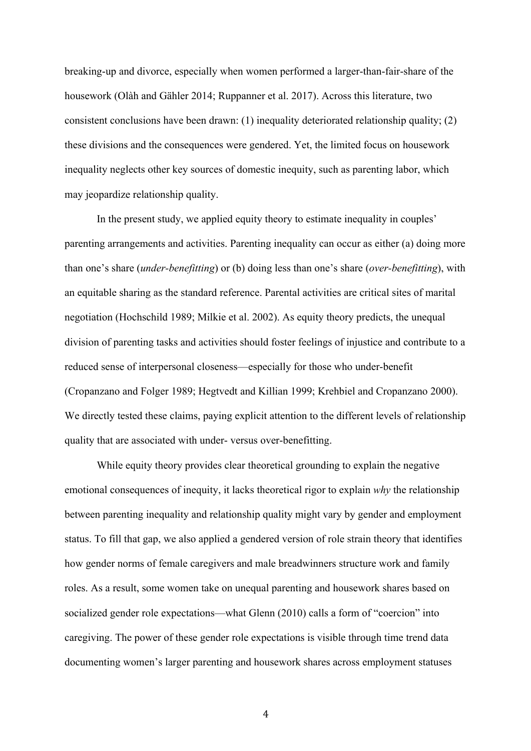breaking-up and divorce, especially when women performed a larger-than-fair-share of the housework (Olàh and Gähler 2014; Ruppanner et al. 2017). Across this literature, two consistent conclusions have been drawn: (1) inequality deteriorated relationship quality; (2) these divisions and the consequences were gendered. Yet, the limited focus on housework inequality neglects other key sources of domestic inequity, such as parenting labor, which may jeopardize relationship quality.

In the present study, we applied equity theory to estimate inequality in couples' parenting arrangements and activities. Parenting inequality can occur as either (a) doing more than one's share (*under-benefitting*) or (b) doing less than one's share (*over-benefitting*), with an equitable sharing as the standard reference. Parental activities are critical sites of marital negotiation (Hochschild 1989; Milkie et al. 2002). As equity theory predicts, the unequal division of parenting tasks and activities should foster feelings of injustice and contribute to a reduced sense of interpersonal closeness—especially for those who under-benefit (Cropanzano and Folger 1989; Hegtvedt and Killian 1999; Krehbiel and Cropanzano 2000). We directly tested these claims, paying explicit attention to the different levels of relationship quality that are associated with under- versus over-benefitting.

While equity theory provides clear theoretical grounding to explain the negative emotional consequences of inequity, it lacks theoretical rigor to explain *why* the relationship between parenting inequality and relationship quality might vary by gender and employment status. To fill that gap, we also applied a gendered version of role strain theory that identifies how gender norms of female caregivers and male breadwinners structure work and family roles. As a result, some women take on unequal parenting and housework shares based on socialized gender role expectations—what Glenn (2010) calls a form of "coercion" into caregiving. The power of these gender role expectations is visible through time trend data documenting women's larger parenting and housework shares across employment statuses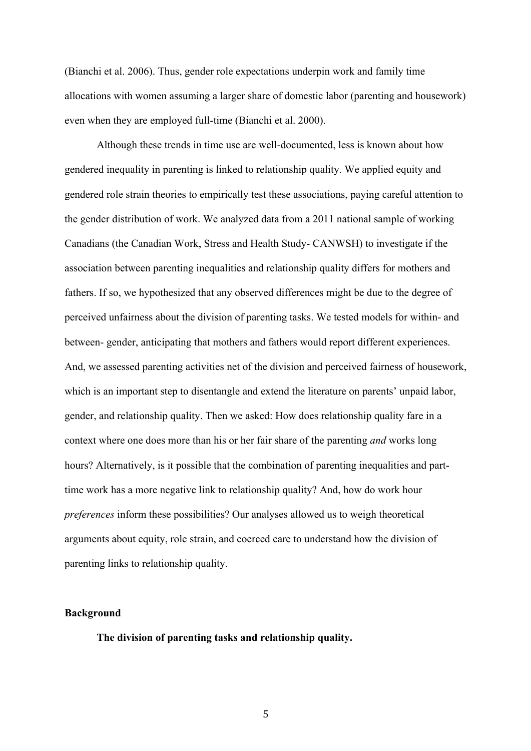(Bianchi et al. 2006). Thus, gender role expectations underpin work and family time allocations with women assuming a larger share of domestic labor (parenting and housework) even when they are employed full-time (Bianchi et al. 2000).

Although these trends in time use are well-documented, less is known about how gendered inequality in parenting is linked to relationship quality. We applied equity and gendered role strain theories to empirically test these associations, paying careful attention to the gender distribution of work. We analyzed data from a 2011 national sample of working Canadians (the Canadian Work, Stress and Health Study- CANWSH) to investigate if the association between parenting inequalities and relationship quality differs for mothers and fathers. If so, we hypothesized that any observed differences might be due to the degree of perceived unfairness about the division of parenting tasks. We tested models for within- and between- gender, anticipating that mothers and fathers would report different experiences. And, we assessed parenting activities net of the division and perceived fairness of housework, which is an important step to disentangle and extend the literature on parents' unpaid labor, gender, and relationship quality. Then we asked: How does relationship quality fare in a context where one does more than his or her fair share of the parenting *and* works long hours? Alternatively, is it possible that the combination of parenting inequalities and parttime work has a more negative link to relationship quality? And, how do work hour *preferences* inform these possibilities? Our analyses allowed us to weigh theoretical arguments about equity, role strain, and coerced care to understand how the division of parenting links to relationship quality.

## **Background**

**The division of parenting tasks and relationship quality.**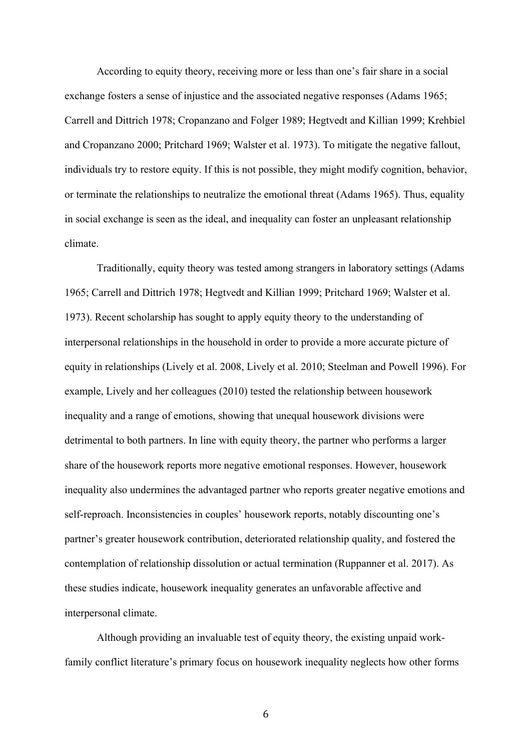According to equity theory, receiving more or less than one's fair share in a social exchange fosters a sense of injustice and the associated negative responses (Adams 1965; Carrell and Dittrich 1978; Cropanzano and Folger 1989; Hegtvedt and Killian 1999; Krehbiel and Cropanzano 2000; Pritchard 1969; Walster et al. 1973). To mitigate the negative fallout, individuals try to restore equity. If this is not possible, they might modify cognition, behavior, or terminate the relationships to neutralize the emotional threat (Adams 1965). Thus, equality in social exchange is seen as the ideal, and inequality can foster an unpleasant relationship climate.

Traditionally, equity theory was tested among strangers in laboratory settings (Adams 1965; Carrell and Dittrich 1978; Hegtvedt and Killian 1999; Pritchard 1969; Walster et al. 1973). Recent scholarship has sought to apply equity theory to the understanding of interpersonal relationships in the household in order to provide a more accurate picture of equity in relationships (Lively et al. 2008, Lively et al. 2010; Steelman and Powell 1996). For example, Lively and her colleagues (2010) tested the relationship between housework inequality and a range of emotions, showing that unequal housework divisions were detrimental to both partners. In line with equity theory, the partner who performs a larger share of the housework reports more negative emotional responses. However, housework inequality also undermines the advantaged partner who reports greater negative emotions and self-reproach. Inconsistencies in couples' housework reports, notably discounting one's partner's greater housework contribution, deteriorated relationship quality, and fostered the contemplation of relationship dissolution or actual termination (Ruppanner et al. 2017). As these studies indicate, housework inequality generates an unfavorable affective and interpersonal climate.

Although providing an invaluable test of equity theory, the existing unpaid workfamily conflict literature's primary focus on housework inequality neglects how other forms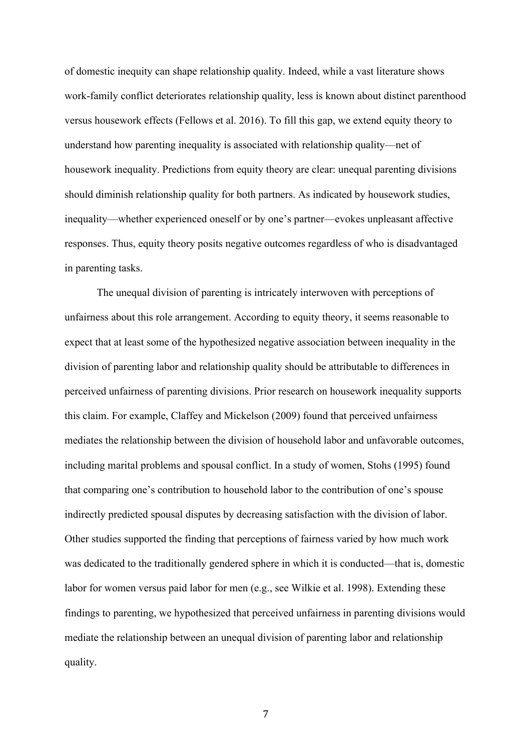of domestic inequity can shape relationship quality. Indeed, while a vast literature shows work-family conflict deteriorates relationship quality, less is known about distinct parenthood versus housework effects (Fellows et al. 2016). To fill this gap, we extend equity theory to understand how parenting inequality is associated with relationship quality—net of housework inequality. Predictions from equity theory are clear: unequal parenting divisions should diminish relationship quality for both partners. As indicated by housework studies, inequality—whether experienced oneself or by one's partner—evokes unpleasant affective responses. Thus, equity theory posits negative outcomes regardless of who is disadvantaged in parenting tasks.

The unequal division of parenting is intricately interwoven with perceptions of unfairness about this role arrangement. According to equity theory, it seems reasonable to expect that at least some of the hypothesized negative association between inequality in the division of parenting labor and relationship quality should be attributable to differences in perceived unfairness of parenting divisions. Prior research on housework inequality supports this claim. For example, Claffey and Mickelson (2009) found that perceived unfairness mediates the relationship between the division of household labor and unfavorable outcomes, including marital problems and spousal conflict. In a study of women, Stohs (1995) found that comparing one's contribution to household labor to the contribution of one's spouse indirectly predicted spousal disputes by decreasing satisfaction with the division of labor. Other studies supported the finding that perceptions of fairness varied by how much work was dedicated to the traditionally gendered sphere in which it is conducted—that is, domestic labor for women versus paid labor for men (e.g., see Wilkie et al. 1998). Extending these findings to parenting, we hypothesized that perceived unfairness in parenting divisions would mediate the relationship between an unequal division of parenting labor and relationship quality.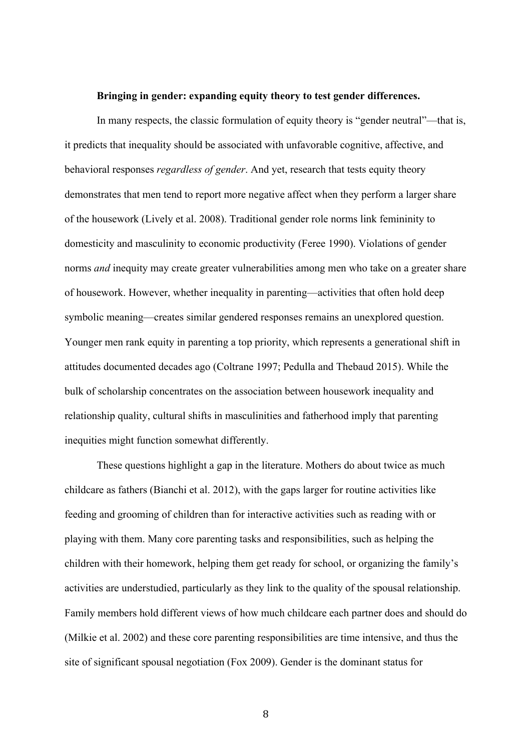### **Bringing in gender: expanding equity theory to test gender differences.**

In many respects, the classic formulation of equity theory is "gender neutral"—that is, it predicts that inequality should be associated with unfavorable cognitive, affective, and behavioral responses *regardless of gender*. And yet, research that tests equity theory demonstrates that men tend to report more negative affect when they perform a larger share of the housework (Lively et al. 2008). Traditional gender role norms link femininity to domesticity and masculinity to economic productivity (Feree 1990). Violations of gender norms *and* inequity may create greater vulnerabilities among men who take on a greater share of housework. However, whether inequality in parenting—activities that often hold deep symbolic meaning—creates similar gendered responses remains an unexplored question. Younger men rank equity in parenting a top priority, which represents a generational shift in attitudes documented decades ago (Coltrane 1997; Pedulla and Thebaud 2015). While the bulk of scholarship concentrates on the association between housework inequality and relationship quality, cultural shifts in masculinities and fatherhood imply that parenting inequities might function somewhat differently.

These questions highlight a gap in the literature. Mothers do about twice as much childcare as fathers (Bianchi et al. 2012), with the gaps larger for routine activities like feeding and grooming of children than for interactive activities such as reading with or playing with them. Many core parenting tasks and responsibilities, such as helping the children with their homework, helping them get ready for school, or organizing the family's activities are understudied, particularly as they link to the quality of the spousal relationship. Family members hold different views of how much childcare each partner does and should do (Milkie et al. 2002) and these core parenting responsibilities are time intensive, and thus the site of significant spousal negotiation (Fox 2009). Gender is the dominant status for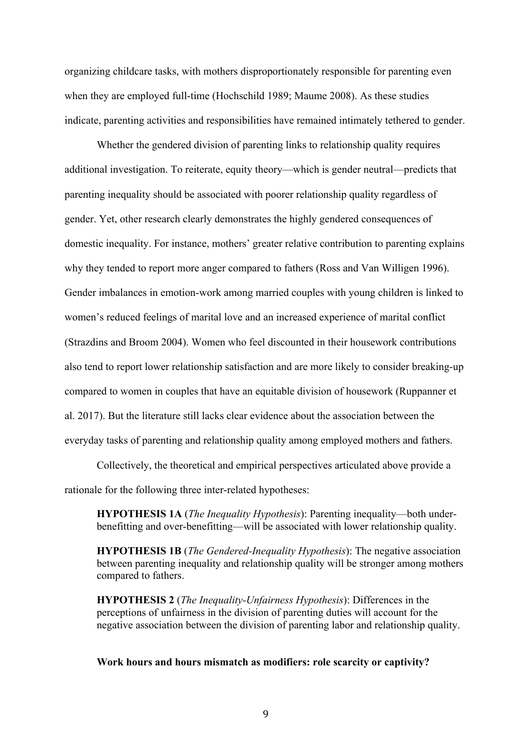organizing childcare tasks, with mothers disproportionately responsible for parenting even when they are employed full-time (Hochschild 1989; Maume 2008). As these studies indicate, parenting activities and responsibilities have remained intimately tethered to gender.

Whether the gendered division of parenting links to relationship quality requires additional investigation. To reiterate, equity theory—which is gender neutral—predicts that parenting inequality should be associated with poorer relationship quality regardless of gender. Yet, other research clearly demonstrates the highly gendered consequences of domestic inequality. For instance, mothers' greater relative contribution to parenting explains why they tended to report more anger compared to fathers (Ross and Van Willigen 1996). Gender imbalances in emotion-work among married couples with young children is linked to women's reduced feelings of marital love and an increased experience of marital conflict (Strazdins and Broom 2004). Women who feel discounted in their housework contributions also tend to report lower relationship satisfaction and are more likely to consider breaking-up compared to women in couples that have an equitable division of housework (Ruppanner et al. 2017). But the literature still lacks clear evidence about the association between the everyday tasks of parenting and relationship quality among employed mothers and fathers.

Collectively, the theoretical and empirical perspectives articulated above provide a rationale for the following three inter-related hypotheses:

**HYPOTHESIS 1A** (*The Inequality Hypothesis*): Parenting inequality—both underbenefitting and over-benefitting—will be associated with lower relationship quality.

**HYPOTHESIS 1B** (*The Gendered-Inequality Hypothesis*): The negative association between parenting inequality and relationship quality will be stronger among mothers compared to fathers.

**HYPOTHESIS 2** (*The Inequality-Unfairness Hypothesis*): Differences in the perceptions of unfairness in the division of parenting duties will account for the negative association between the division of parenting labor and relationship quality.

**Work hours and hours mismatch as modifiers: role scarcity or captivity?**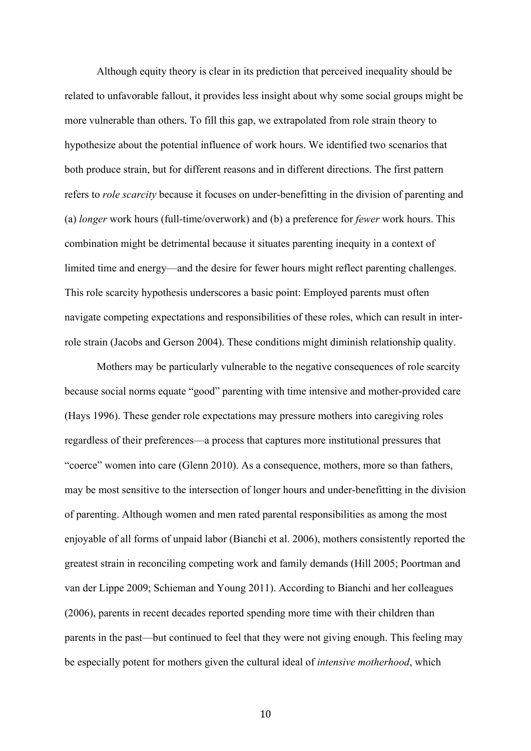Although equity theory is clear in its prediction that perceived inequality should be related to unfavorable fallout, it provides less insight about why some social groups might be more vulnerable than others. To fill this gap, we extrapolated from role strain theory to hypothesize about the potential influence of work hours. We identified two scenarios that both produce strain, but for different reasons and in different directions. The first pattern refers to *role scarcity* because it focuses on under-benefitting in the division of parenting and (a) *longer* work hours (full-time/overwork) and (b) a preference for *fewer* work hours. This combination might be detrimental because it situates parenting inequity in a context of limited time and energy—and the desire for fewer hours might reflect parenting challenges. This role scarcity hypothesis underscores a basic point: Employed parents must often navigate competing expectations and responsibilities of these roles, which can result in interrole strain (Jacobs and Gerson 2004). These conditions might diminish relationship quality.

Mothers may be particularly vulnerable to the negative consequences of role scarcity because social norms equate "good" parenting with time intensive and mother-provided care (Hays 1996). These gender role expectations may pressure mothers into caregiving roles regardless of their preferences—a process that captures more institutional pressures that "coerce" women into care (Glenn 2010). As a consequence, mothers, more so than fathers, may be most sensitive to the intersection of longer hours and under-benefitting in the division of parenting. Although women and men rated parental responsibilities as among the most enjoyable of all forms of unpaid labor (Bianchi et al. 2006), mothers consistently reported the greatest strain in reconciling competing work and family demands (Hill 2005; Poortman and van der Lippe 2009; Schieman and Young 2011). According to Bianchi and her colleagues (2006), parents in recent decades reported spending more time with their children than parents in the past—but continued to feel that they were not giving enough. This feeling may be especially potent for mothers given the cultural ideal of *intensive motherhood*, which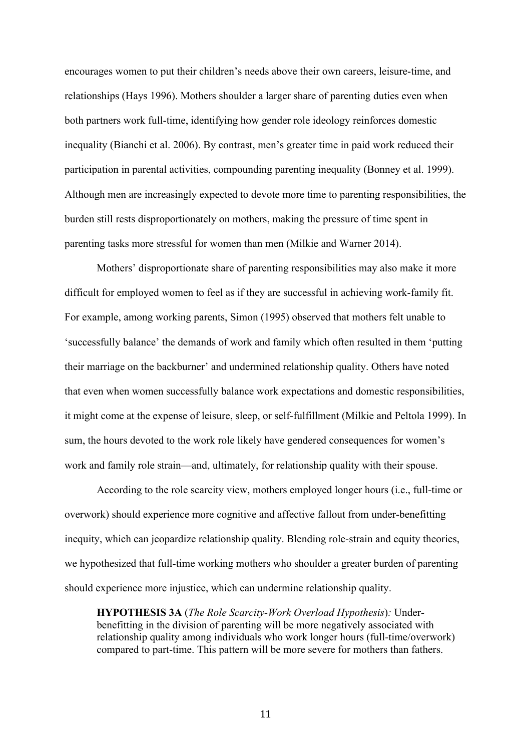encourages women to put their children's needs above their own careers, leisure-time, and relationships (Hays 1996). Mothers shoulder a larger share of parenting duties even when both partners work full-time, identifying how gender role ideology reinforces domestic inequality (Bianchi et al. 2006). By contrast, men's greater time in paid work reduced their participation in parental activities, compounding parenting inequality (Bonney et al. 1999). Although men are increasingly expected to devote more time to parenting responsibilities, the burden still rests disproportionately on mothers, making the pressure of time spent in parenting tasks more stressful for women than men (Milkie and Warner 2014).

Mothers' disproportionate share of parenting responsibilities may also make it more difficult for employed women to feel as if they are successful in achieving work-family fit. For example, among working parents, Simon (1995) observed that mothers felt unable to 'successfully balance' the demands of work and family which often resulted in them 'putting their marriage on the backburner' and undermined relationship quality. Others have noted that even when women successfully balance work expectations and domestic responsibilities, it might come at the expense of leisure, sleep, or self-fulfillment (Milkie and Peltola 1999). In sum, the hours devoted to the work role likely have gendered consequences for women's work and family role strain—and, ultimately, for relationship quality with their spouse.

According to the role scarcity view, mothers employed longer hours (i.e., full-time or overwork) should experience more cognitive and affective fallout from under-benefitting inequity, which can jeopardize relationship quality. Blending role-strain and equity theories, we hypothesized that full-time working mothers who shoulder a greater burden of parenting should experience more injustice, which can undermine relationship quality.

**HYPOTHESIS 3A** (*The Role Scarcity-Work Overload Hypothesis*)*:* Underbenefitting in the division of parenting will be more negatively associated with relationship quality among individuals who work longer hours (full-time/overwork) compared to part-time. This pattern will be more severe for mothers than fathers.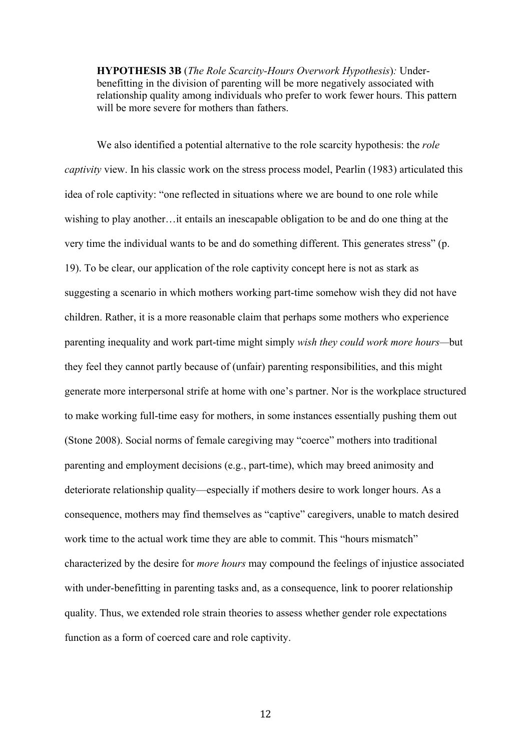**HYPOTHESIS 3B** (*The Role Scarcity-Hours Overwork Hypothesis*)*:* Underbenefitting in the division of parenting will be more negatively associated with relationship quality among individuals who prefer to work fewer hours. This pattern will be more severe for mothers than fathers.

We also identified a potential alternative to the role scarcity hypothesis: the *role captivity* view. In his classic work on the stress process model, Pearlin (1983) articulated this idea of role captivity: "one reflected in situations where we are bound to one role while wishing to play another…it entails an inescapable obligation to be and do one thing at the very time the individual wants to be and do something different. This generates stress" (p. 19). To be clear, our application of the role captivity concept here is not as stark as suggesting a scenario in which mothers working part-time somehow wish they did not have children. Rather, it is a more reasonable claim that perhaps some mothers who experience parenting inequality and work part-time might simply *wish they could work more hours—*but they feel they cannot partly because of (unfair) parenting responsibilities, and this might generate more interpersonal strife at home with one's partner. Nor is the workplace structured to make working full-time easy for mothers, in some instances essentially pushing them out (Stone 2008). Social norms of female caregiving may "coerce" mothers into traditional parenting and employment decisions (e.g., part-time), which may breed animosity and deteriorate relationship quality—especially if mothers desire to work longer hours. As a consequence, mothers may find themselves as "captive" caregivers, unable to match desired work time to the actual work time they are able to commit. This "hours mismatch" characterized by the desire for *more hours* may compound the feelings of injustice associated with under-benefitting in parenting tasks and, as a consequence, link to poorer relationship quality. Thus, we extended role strain theories to assess whether gender role expectations function as a form of coerced care and role captivity.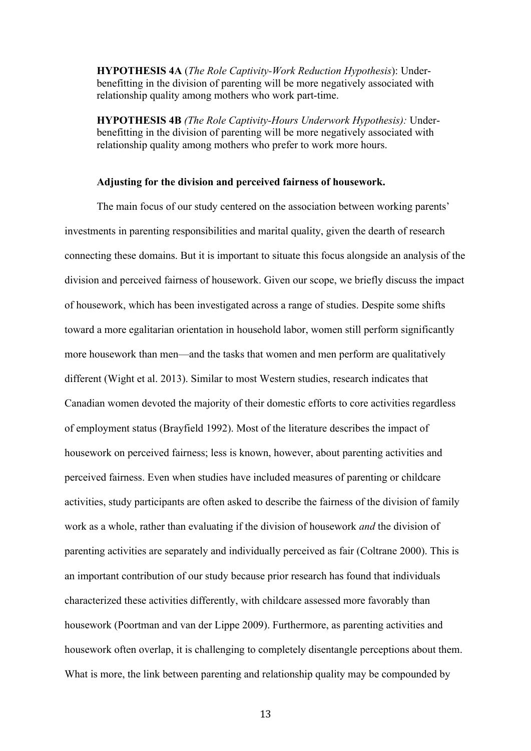**HYPOTHESIS 4A** (*The Role Captivity-Work Reduction Hypothesis*): Underbenefitting in the division of parenting will be more negatively associated with relationship quality among mothers who work part-time.

**HYPOTHESIS 4B** *(The Role Captivity-Hours Underwork Hypothesis):* Underbenefitting in the division of parenting will be more negatively associated with relationship quality among mothers who prefer to work more hours.

### **Adjusting for the division and perceived fairness of housework.**

The main focus of our study centered on the association between working parents' investments in parenting responsibilities and marital quality, given the dearth of research connecting these domains. But it is important to situate this focus alongside an analysis of the division and perceived fairness of housework. Given our scope, we briefly discuss the impact of housework, which has been investigated across a range of studies. Despite some shifts toward a more egalitarian orientation in household labor, women still perform significantly more housework than men—and the tasks that women and men perform are qualitatively different (Wight et al. 2013). Similar to most Western studies, research indicates that Canadian women devoted the majority of their domestic efforts to core activities regardless of employment status (Brayfield 1992). Most of the literature describes the impact of housework on perceived fairness; less is known, however, about parenting activities and perceived fairness. Even when studies have included measures of parenting or childcare activities, study participants are often asked to describe the fairness of the division of family work as a whole, rather than evaluating if the division of housework *and* the division of parenting activities are separately and individually perceived as fair (Coltrane 2000). This is an important contribution of our study because prior research has found that individuals characterized these activities differently, with childcare assessed more favorably than housework (Poortman and van der Lippe 2009). Furthermore, as parenting activities and housework often overlap, it is challenging to completely disentangle perceptions about them. What is more, the link between parenting and relationship quality may be compounded by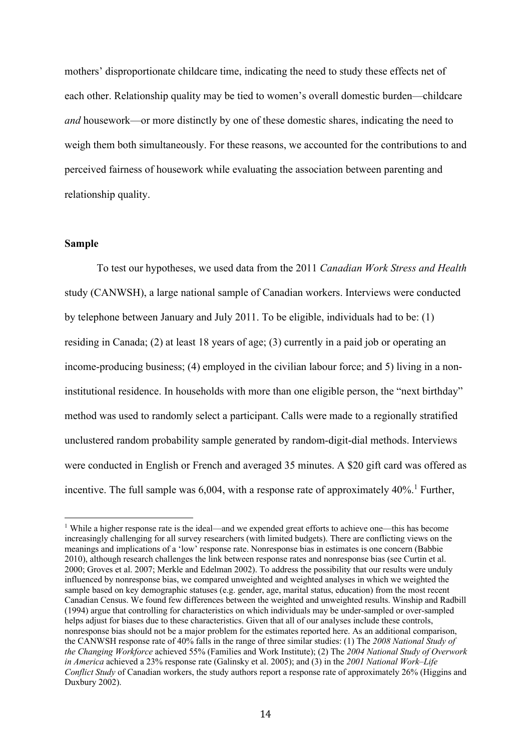mothers' disproportionate childcare time, indicating the need to study these effects net of each other. Relationship quality may be tied to women's overall domestic burden—childcare *and* housework—or more distinctly by one of these domestic shares, indicating the need to weigh them both simultaneously. For these reasons, we accounted for the contributions to and perceived fairness of housework while evaluating the association between parenting and relationship quality.

### **Sample**

To test our hypotheses, we used data from the 2011 *Canadian Work Stress and Health* study (CANWSH), a large national sample of Canadian workers. Interviews were conducted by telephone between January and July 2011. To be eligible, individuals had to be: (1) residing in Canada; (2) at least 18 years of age; (3) currently in a paid job or operating an income-producing business; (4) employed in the civilian labour force; and 5) living in a noninstitutional residence. In households with more than one eligible person, the "next birthday" method was used to randomly select a participant. Calls were made to a regionally stratified unclustered random probability sample generated by random-digit-dial methods. Interviews were conducted in English or French and averaged 35 minutes. A \$20 gift card was offered as incentive. The full sample was  $6,004$ , with a response rate of approximately  $40\%$ .<sup>1</sup> Further,

<sup>1</sup> While a higher response rate is the ideal—and we expended great efforts to achieve one—this has become increasingly challenging for all survey researchers (with limited budgets). There are conflicting views on the meanings and implications of a 'low' response rate. Nonresponse bias in estimates is one concern (Babbie 2010), although research challenges the link between response rates and nonresponse bias (see Curtin et al. 2000; Groves et al. 2007; Merkle and Edelman 2002). To address the possibility that our results were unduly influenced by nonresponse bias, we compared unweighted and weighted analyses in which we weighted the sample based on key demographic statuses (e.g. gender, age, marital status, education) from the most recent Canadian Census. We found few differences between the weighted and unweighted results. Winship and Radbill (1994) argue that controlling for characteristics on which individuals may be under-sampled or over-sampled helps adjust for biases due to these characteristics. Given that all of our analyses include these controls, nonresponse bias should not be a major problem for the estimates reported here. As an additional comparison, the CANWSH response rate of 40% falls in the range of three similar studies: (1) The *2008 National Study of the Changing Workforce* achieved 55% (Families and Work Institute); (2) The *2004 National Study of Overwork in America* achieved a 23% response rate (Galinsky et al. 2005); and (3) in the *2001 National Work–Life Conflict Study* of Canadian workers, the study authors report a response rate of approximately 26% (Higgins and Duxbury 2002).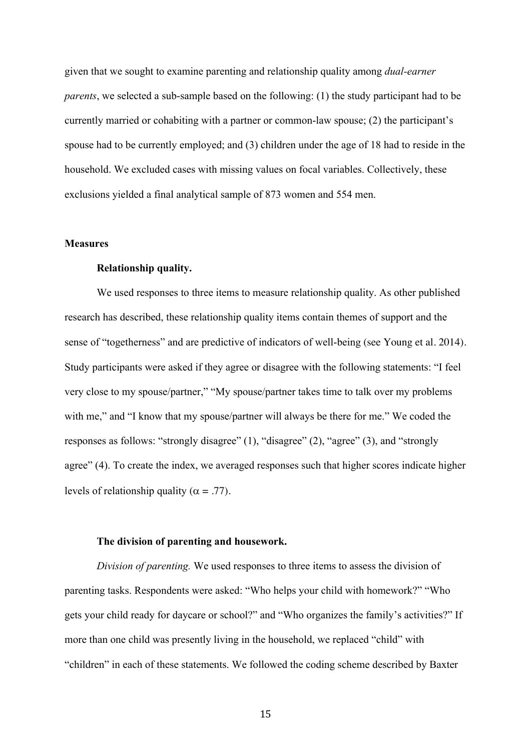given that we sought to examine parenting and relationship quality among *dual-earner parents*, we selected a sub-sample based on the following: (1) the study participant had to be currently married or cohabiting with a partner or common-law spouse; (2) the participant's spouse had to be currently employed; and (3) children under the age of 18 had to reside in the household. We excluded cases with missing values on focal variables. Collectively, these exclusions yielded a final analytical sample of 873 women and 554 men.

### **Measures**

## **Relationship quality.**

We used responses to three items to measure relationship quality. As other published research has described, these relationship quality items contain themes of support and the sense of "togetherness" and are predictive of indicators of well-being (see Young et al. 2014). Study participants were asked if they agree or disagree with the following statements: "I feel very close to my spouse/partner," "My spouse/partner takes time to talk over my problems with me," and "I know that my spouse/partner will always be there for me." We coded the responses as follows: "strongly disagree" (1), "disagree" (2), "agree" (3), and "strongly agree" (4). To create the index, we averaged responses such that higher scores indicate higher levels of relationship quality ( $\alpha = .77$ ).

## **The division of parenting and housework.**

*Division of parenting.* We used responses to three items to assess the division of parenting tasks. Respondents were asked: "Who helps your child with homework?" "Who gets your child ready for daycare or school?" and "Who organizes the family's activities?" If more than one child was presently living in the household, we replaced "child" with "children" in each of these statements. We followed the coding scheme described by Baxter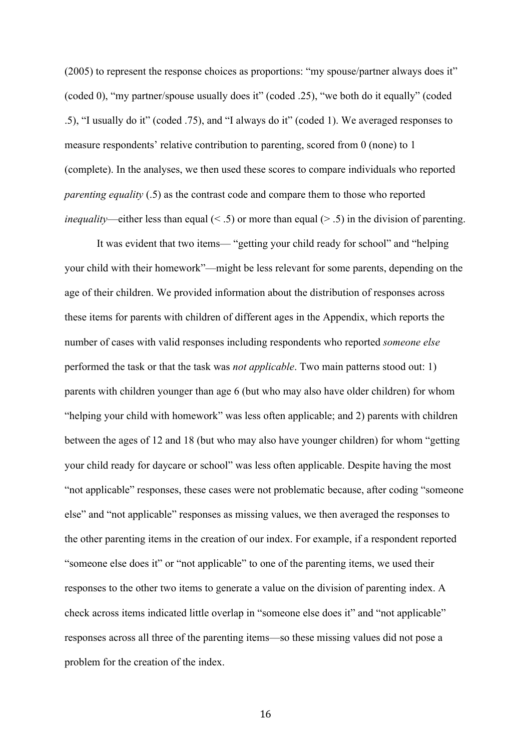(2005) to represent the response choices as proportions: "my spouse/partner always does it" (coded 0), "my partner/spouse usually does it" (coded .25), "we both do it equally" (coded .5), "I usually do it" (coded .75), and "I always do it" (coded 1). We averaged responses to measure respondents' relative contribution to parenting, scored from 0 (none) to 1 (complete). In the analyses, we then used these scores to compare individuals who reported *parenting equality* (.5) as the contrast code and compare them to those who reported *inequality*—either less than equal  $($  < .5) or more than equal  $($  > .5) in the division of parenting.

It was evident that two items— "getting your child ready for school" and "helping your child with their homework"—might be less relevant for some parents, depending on the age of their children. We provided information about the distribution of responses across these items for parents with children of different ages in the Appendix, which reports the number of cases with valid responses including respondents who reported *someone else* performed the task or that the task was *not applicable*. Two main patterns stood out: 1) parents with children younger than age 6 (but who may also have older children) for whom "helping your child with homework" was less often applicable; and 2) parents with children between the ages of 12 and 18 (but who may also have younger children) for whom "getting your child ready for daycare or school" was less often applicable. Despite having the most "not applicable" responses, these cases were not problematic because, after coding "someone else" and "not applicable" responses as missing values, we then averaged the responses to the other parenting items in the creation of our index. For example, if a respondent reported "someone else does it" or "not applicable" to one of the parenting items, we used their responses to the other two items to generate a value on the division of parenting index. A check across items indicated little overlap in "someone else does it" and "not applicable" responses across all three of the parenting items—so these missing values did not pose a problem for the creation of the index.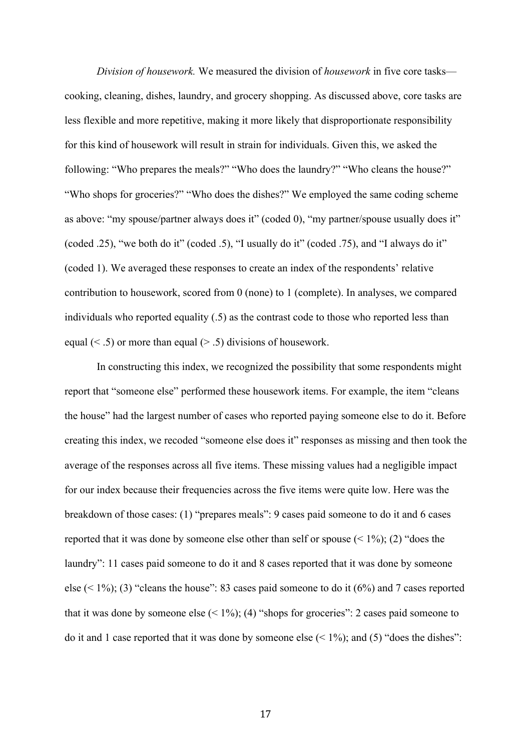*Division of housework.* We measured the division of *housework* in five core tasks cooking, cleaning, dishes, laundry, and grocery shopping. As discussed above, core tasks are less flexible and more repetitive, making it more likely that disproportionate responsibility for this kind of housework will result in strain for individuals. Given this, we asked the following: "Who prepares the meals?" "Who does the laundry?" "Who cleans the house?" "Who shops for groceries?" "Who does the dishes?" We employed the same coding scheme as above: "my spouse/partner always does it" (coded 0), "my partner/spouse usually does it" (coded .25), "we both do it" (coded .5), "I usually do it" (coded .75), and "I always do it" (coded 1). We averaged these responses to create an index of the respondents' relative contribution to housework, scored from 0 (none) to 1 (complete). In analyses, we compared individuals who reported equality (.5) as the contrast code to those who reported less than equal  $(< .5)$  or more than equal  $(> .5)$  divisions of housework.

In constructing this index, we recognized the possibility that some respondents might report that "someone else" performed these housework items. For example, the item "cleans the house" had the largest number of cases who reported paying someone else to do it. Before creating this index, we recoded "someone else does it" responses as missing and then took the average of the responses across all five items. These missing values had a negligible impact for our index because their frequencies across the five items were quite low. Here was the breakdown of those cases: (1) "prepares meals": 9 cases paid someone to do it and 6 cases reported that it was done by someone else other than self or spouse  $($  < 1%); (2) "does the laundry": 11 cases paid someone to do it and 8 cases reported that it was done by someone else  $(1\%)$ ; (3) "cleans the house": 83 cases paid someone to do it  $(6\%)$  and 7 cases reported that it was done by someone else  $(< 1\%)$ ; (4) "shops for groceries": 2 cases paid someone to do it and 1 case reported that it was done by someone else  $(1\%)$ ; and  $(5)$  "does the dishes":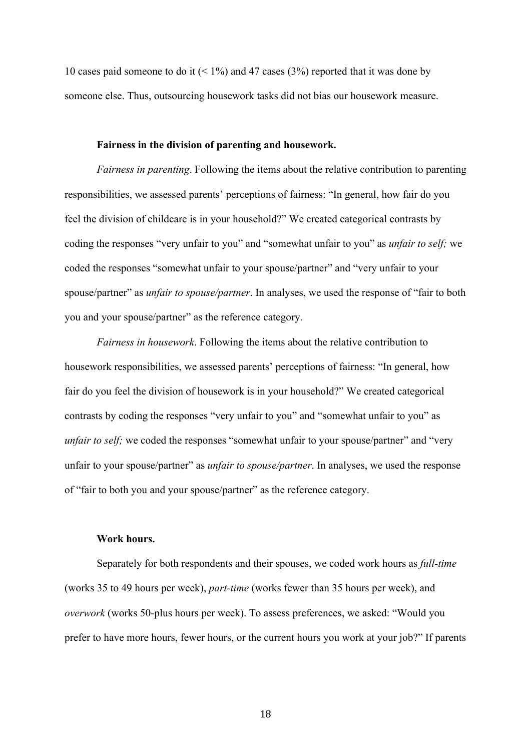10 cases paid someone to do it  $(< 1\%)$  and 47 cases (3%) reported that it was done by someone else. Thus, outsourcing housework tasks did not bias our housework measure.

### **Fairness in the division of parenting and housework.**

*Fairness in parenting*. Following the items about the relative contribution to parenting responsibilities, we assessed parents' perceptions of fairness: "In general, how fair do you feel the division of childcare is in your household?" We created categorical contrasts by coding the responses "very unfair to you" and "somewhat unfair to you" as *unfair to self;* we coded the responses "somewhat unfair to your spouse/partner" and "very unfair to your spouse/partner" as *unfair to spouse/partner*. In analyses, we used the response of "fair to both you and your spouse/partner" as the reference category.

*Fairness in housework*. Following the items about the relative contribution to housework responsibilities, we assessed parents' perceptions of fairness: "In general, how fair do you feel the division of housework is in your household?" We created categorical contrasts by coding the responses "very unfair to you" and "somewhat unfair to you" as *unfair to self;* we coded the responses "somewhat unfair to your spouse/partner" and "very unfair to your spouse/partner" as *unfair to spouse/partner*. In analyses, we used the response of "fair to both you and your spouse/partner" as the reference category.

### **Work hours.**

Separately for both respondents and their spouses, we coded work hours as *full-time*  (works 35 to 49 hours per week), *part-time* (works fewer than 35 hours per week), and *overwork* (works 50-plus hours per week). To assess preferences, we asked: "Would you prefer to have more hours, fewer hours, or the current hours you work at your job?" If parents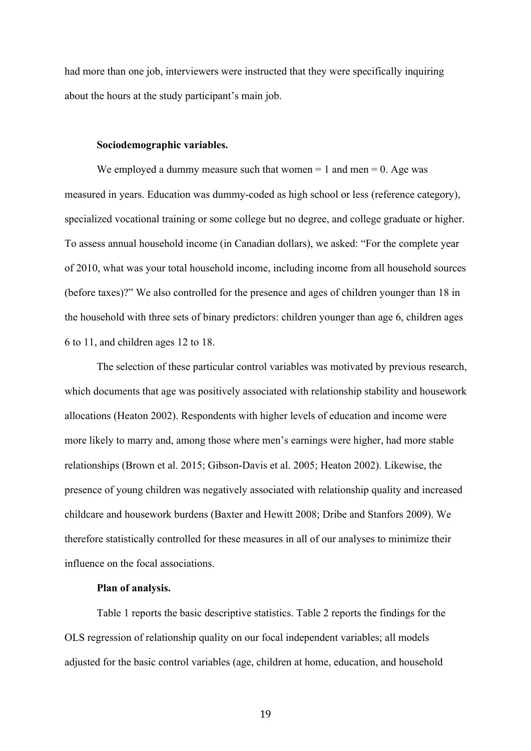had more than one job, interviewers were instructed that they were specifically inquiring about the hours at the study participant's main job.

#### **Sociodemographic variables.**

We employed a dummy measure such that women  $= 1$  and men  $= 0$ . Age was measured in years. Education was dummy-coded as high school or less (reference category), specialized vocational training or some college but no degree, and college graduate or higher. To assess annual household income (in Canadian dollars), we asked: "For the complete year of 2010, what was your total household income, including income from all household sources (before taxes)?" We also controlled for the presence and ages of children younger than 18 in the household with three sets of binary predictors: children younger than age 6, children ages 6 to 11, and children ages 12 to 18.

The selection of these particular control variables was motivated by previous research, which documents that age was positively associated with relationship stability and housework allocations (Heaton 2002). Respondents with higher levels of education and income were more likely to marry and, among those where men's earnings were higher, had more stable relationships (Brown et al. 2015; Gibson-Davis et al. 2005; Heaton 2002). Likewise, the presence of young children was negatively associated with relationship quality and increased childcare and housework burdens (Baxter and Hewitt 2008; Dribe and Stanfors 2009). We therefore statistically controlled for these measures in all of our analyses to minimize their influence on the focal associations.

#### **Plan of analysis.**

Table 1 reports the basic descriptive statistics. Table 2 reports the findings for the OLS regression of relationship quality on our focal independent variables; all models adjusted for the basic control variables (age, children at home, education, and household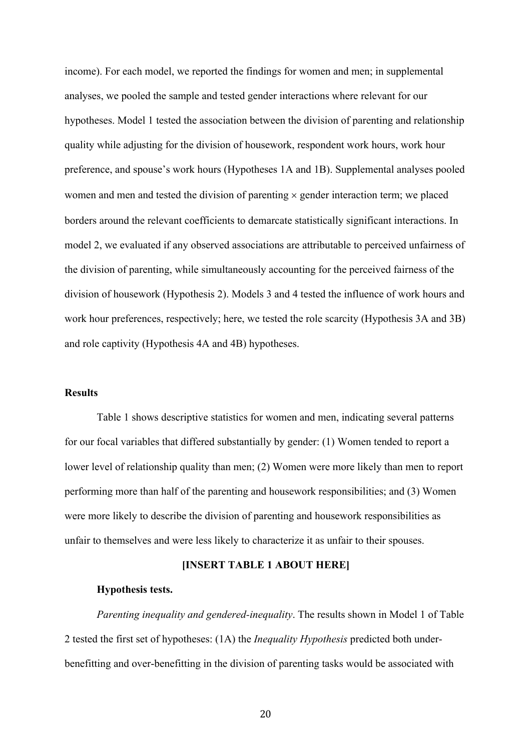income). For each model, we reported the findings for women and men; in supplemental analyses, we pooled the sample and tested gender interactions where relevant for our hypotheses. Model 1 tested the association between the division of parenting and relationship quality while adjusting for the division of housework, respondent work hours, work hour preference, and spouse's work hours (Hypotheses 1A and 1B). Supplemental analyses pooled women and men and tested the division of parenting  $\times$  gender interaction term; we placed borders around the relevant coefficients to demarcate statistically significant interactions. In model 2, we evaluated if any observed associations are attributable to perceived unfairness of the division of parenting, while simultaneously accounting for the perceived fairness of the division of housework (Hypothesis 2). Models 3 and 4 tested the influence of work hours and work hour preferences, respectively; here, we tested the role scarcity (Hypothesis 3A and 3B) and role captivity (Hypothesis 4A and 4B) hypotheses.

## **Results**

Table 1 shows descriptive statistics for women and men, indicating several patterns for our focal variables that differed substantially by gender: (1) Women tended to report a lower level of relationship quality than men; (2) Women were more likely than men to report performing more than half of the parenting and housework responsibilities; and (3) Women were more likely to describe the division of parenting and housework responsibilities as unfair to themselves and were less likely to characterize it as unfair to their spouses.

### **[INSERT TABLE 1 ABOUT HERE]**

#### **Hypothesis tests.**

*Parenting inequality and gendered-inequality*. The results shown in Model 1 of Table 2 tested the first set of hypotheses: (1A) the *Inequality Hypothesis* predicted both underbenefitting and over-benefitting in the division of parenting tasks would be associated with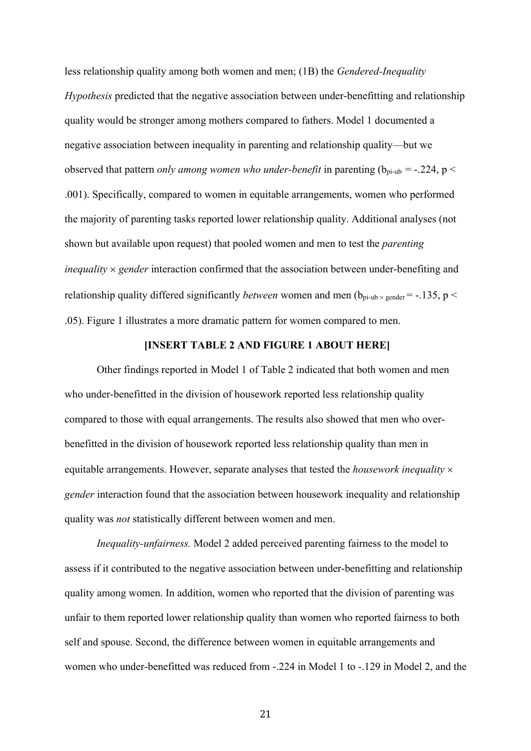less relationship quality among both women and men; (1B) the *Gendered-Inequality Hypothesis* predicted that the negative association between under-benefitting and relationship quality would be stronger among mothers compared to fathers. Model 1 documented a negative association between inequality in parenting and relationship quality—but we observed that pattern *only among women who under-benefit* in parenting ( $b_{pi-ub} = -.224$ ,  $p <$ .001). Specifically, compared to women in equitable arrangements, women who performed the majority of parenting tasks reported lower relationship quality. Additional analyses (not shown but available upon request) that pooled women and men to test the *parenting inequality*  $\times$  *gender* interaction confirmed that the association between under-benefiting and relationship quality differed significantly *between* women and men  $(b_{pi-ub} \times$  gender = -.135, p < .05). Figure 1 illustrates a more dramatic pattern for women compared to men.

#### **[INSERT TABLE 2 AND FIGURE 1 ABOUT HERE]**

Other findings reported in Model 1 of Table 2 indicated that both women and men who under-benefitted in the division of housework reported less relationship quality compared to those with equal arrangements. The results also showed that men who overbenefitted in the division of housework reported less relationship quality than men in equitable arrangements. However, separate analyses that tested the *housework inequality* ´ *gender* interaction found that the association between housework inequality and relationship quality was *not* statistically different between women and men.

*Inequality-unfairness.* Model 2 added perceived parenting fairness to the model to assess if it contributed to the negative association between under-benefitting and relationship quality among women. In addition, women who reported that the division of parenting was unfair to them reported lower relationship quality than women who reported fairness to both self and spouse. Second, the difference between women in equitable arrangements and women who under-benefitted was reduced from -.224 in Model 1 to -.129 in Model 2, and the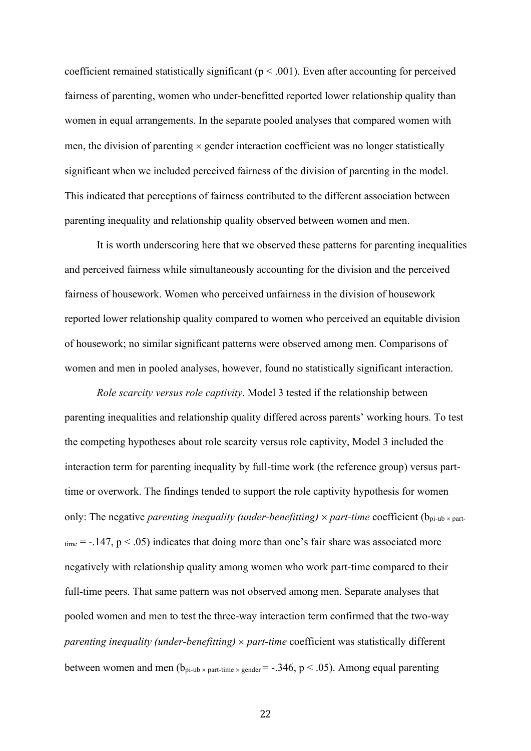coefficient remained statistically significant ( $p < .001$ ). Even after accounting for perceived fairness of parenting, women who under-benefitted reported lower relationship quality than women in equal arrangements. In the separate pooled analyses that compared women with men, the division of parenting  $\times$  gender interaction coefficient was no longer statistically significant when we included perceived fairness of the division of parenting in the model. This indicated that perceptions of fairness contributed to the different association between parenting inequality and relationship quality observed between women and men.

It is worth underscoring here that we observed these patterns for parenting inequalities and perceived fairness while simultaneously accounting for the division and the perceived fairness of housework. Women who perceived unfairness in the division of housework reported lower relationship quality compared to women who perceived an equitable division of housework; no similar significant patterns were observed among men. Comparisons of women and men in pooled analyses, however, found no statistically significant interaction.

*Role scarcity versus role captivity*. Model 3 tested if the relationship between parenting inequalities and relationship quality differed across parents' working hours. To test the competing hypotheses about role scarcity versus role captivity, Model 3 included the interaction term for parenting inequality by full-time work (the reference group) versus parttime or overwork. The findings tended to support the role captivity hypothesis for women only: The negative *parenting inequality (under-benefitting)*  $\times$  *part-time* coefficient ( $b_{pi-up} \times$  part $t_{time} = -.147$ ,  $p < .05$ ) indicates that doing more than one's fair share was associated more negatively with relationship quality among women who work part-time compared to their full-time peers. That same pattern was not observed among men. Separate analyses that pooled women and men to test the three-way interaction term confirmed that the two-way *parenting inequality (under-benefitting)*  $\times$  *part-time* coefficient was statistically different between women and men  $(b_{pi-ub \times part-time \times gender} = -.346, p < .05)$ . Among equal parenting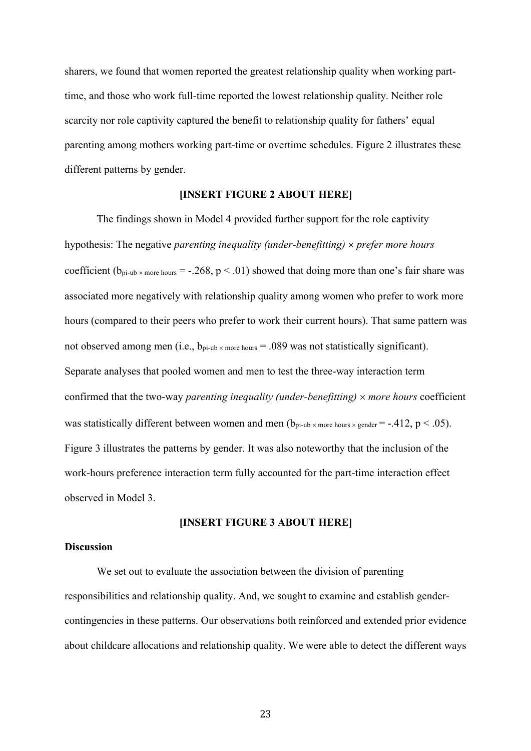sharers, we found that women reported the greatest relationship quality when working parttime, and those who work full-time reported the lowest relationship quality. Neither role scarcity nor role captivity captured the benefit to relationship quality for fathers' equal parenting among mothers working part-time or overtime schedules. Figure 2 illustrates these different patterns by gender.

## **[INSERT FIGURE 2 ABOUT HERE]**

The findings shown in Model 4 provided further support for the role captivity hypothesis: The negative *parenting inequality (under-benefitting)*  $\times$  *prefer more hours* coefficient ( $b_{pi-ub \times more hours} = -.268$ ,  $p < .01$ ) showed that doing more than one's fair share was associated more negatively with relationship quality among women who prefer to work more hours (compared to their peers who prefer to work their current hours). That same pattern was not observed among men (i.e.,  $b_{pi-ub \times more hours} = .089$  was not statistically significant). Separate analyses that pooled women and men to test the three-way interaction term confirmed that the two-way *parenting inequality (under-benefitting)*  $\times$  *more hours* coefficient was statistically different between women and men  $(b_{pi-ub \times more hours \times gender} = -.412, p < .05)$ . Figure 3 illustrates the patterns by gender. It was also noteworthy that the inclusion of the work-hours preference interaction term fully accounted for the part-time interaction effect observed in Model 3.

## **[INSERT FIGURE 3 ABOUT HERE]**

## **Discussion**

We set out to evaluate the association between the division of parenting responsibilities and relationship quality. And, we sought to examine and establish gendercontingencies in these patterns. Our observations both reinforced and extended prior evidence about childcare allocations and relationship quality. We were able to detect the different ways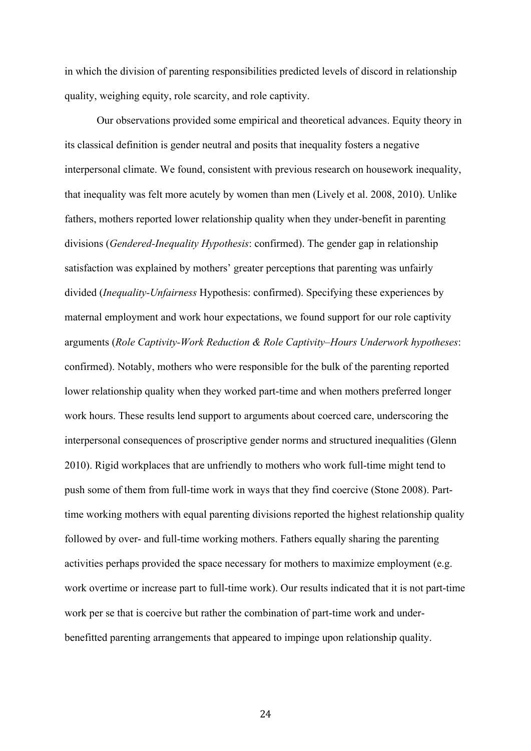in which the division of parenting responsibilities predicted levels of discord in relationship quality, weighing equity, role scarcity, and role captivity.

Our observations provided some empirical and theoretical advances. Equity theory in its classical definition is gender neutral and posits that inequality fosters a negative interpersonal climate. We found, consistent with previous research on housework inequality, that inequality was felt more acutely by women than men (Lively et al. 2008, 2010). Unlike fathers, mothers reported lower relationship quality when they under-benefit in parenting divisions (*Gendered-Inequality Hypothesis*: confirmed). The gender gap in relationship satisfaction was explained by mothers' greater perceptions that parenting was unfairly divided (*Inequality-Unfairness* Hypothesis: confirmed). Specifying these experiences by maternal employment and work hour expectations, we found support for our role captivity arguments (*Role Captivity-Work Reduction & Role Captivity–Hours Underwork hypotheses*: confirmed). Notably, mothers who were responsible for the bulk of the parenting reported lower relationship quality when they worked part-time and when mothers preferred longer work hours. These results lend support to arguments about coerced care, underscoring the interpersonal consequences of proscriptive gender norms and structured inequalities (Glenn 2010). Rigid workplaces that are unfriendly to mothers who work full-time might tend to push some of them from full-time work in ways that they find coercive (Stone 2008). Parttime working mothers with equal parenting divisions reported the highest relationship quality followed by over- and full-time working mothers. Fathers equally sharing the parenting activities perhaps provided the space necessary for mothers to maximize employment (e.g. work overtime or increase part to full-time work). Our results indicated that it is not part-time work per se that is coercive but rather the combination of part-time work and underbenefitted parenting arrangements that appeared to impinge upon relationship quality.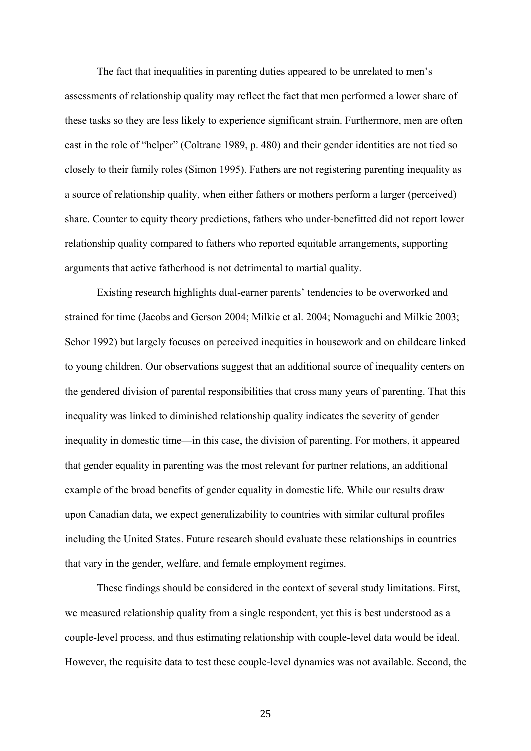The fact that inequalities in parenting duties appeared to be unrelated to men's assessments of relationship quality may reflect the fact that men performed a lower share of these tasks so they are less likely to experience significant strain. Furthermore, men are often cast in the role of "helper" (Coltrane 1989, p. 480) and their gender identities are not tied so closely to their family roles (Simon 1995). Fathers are not registering parenting inequality as a source of relationship quality, when either fathers or mothers perform a larger (perceived) share. Counter to equity theory predictions, fathers who under-benefitted did not report lower relationship quality compared to fathers who reported equitable arrangements, supporting arguments that active fatherhood is not detrimental to martial quality.

Existing research highlights dual-earner parents' tendencies to be overworked and strained for time (Jacobs and Gerson 2004; Milkie et al. 2004; Nomaguchi and Milkie 2003; Schor 1992) but largely focuses on perceived inequities in housework and on childcare linked to young children. Our observations suggest that an additional source of inequality centers on the gendered division of parental responsibilities that cross many years of parenting. That this inequality was linked to diminished relationship quality indicates the severity of gender inequality in domestic time—in this case, the division of parenting. For mothers, it appeared that gender equality in parenting was the most relevant for partner relations, an additional example of the broad benefits of gender equality in domestic life. While our results draw upon Canadian data, we expect generalizability to countries with similar cultural profiles including the United States. Future research should evaluate these relationships in countries that vary in the gender, welfare, and female employment regimes.

These findings should be considered in the context of several study limitations. First, we measured relationship quality from a single respondent, yet this is best understood as a couple-level process, and thus estimating relationship with couple-level data would be ideal. However, the requisite data to test these couple-level dynamics was not available. Second, the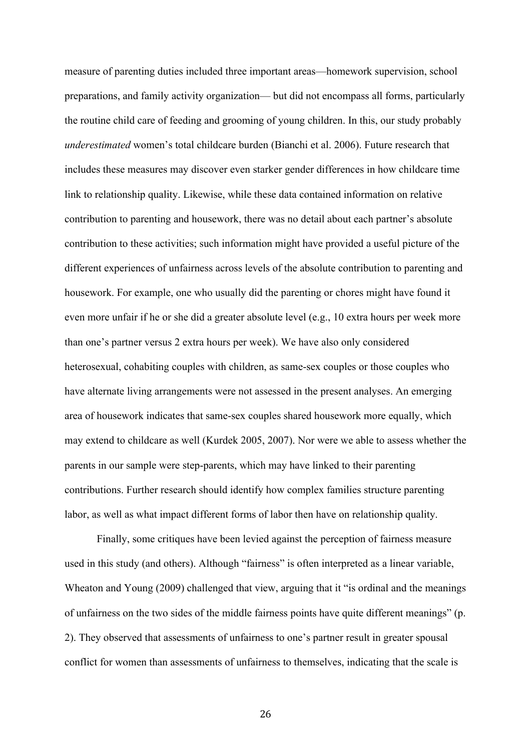measure of parenting duties included three important areas—homework supervision, school preparations, and family activity organization— but did not encompass all forms, particularly the routine child care of feeding and grooming of young children. In this, our study probably *underestimated* women's total childcare burden (Bianchi et al. 2006). Future research that includes these measures may discover even starker gender differences in how childcare time link to relationship quality. Likewise, while these data contained information on relative contribution to parenting and housework, there was no detail about each partner's absolute contribution to these activities; such information might have provided a useful picture of the different experiences of unfairness across levels of the absolute contribution to parenting and housework. For example, one who usually did the parenting or chores might have found it even more unfair if he or she did a greater absolute level (e.g., 10 extra hours per week more than one's partner versus 2 extra hours per week). We have also only considered heterosexual, cohabiting couples with children, as same-sex couples or those couples who have alternate living arrangements were not assessed in the present analyses. An emerging area of housework indicates that same-sex couples shared housework more equally, which may extend to childcare as well (Kurdek 2005, 2007). Nor were we able to assess whether the parents in our sample were step-parents, which may have linked to their parenting contributions. Further research should identify how complex families structure parenting labor, as well as what impact different forms of labor then have on relationship quality.

Finally, some critiques have been levied against the perception of fairness measure used in this study (and others). Although "fairness" is often interpreted as a linear variable, Wheaton and Young (2009) challenged that view, arguing that it "is ordinal and the meanings of unfairness on the two sides of the middle fairness points have quite different meanings" (p. 2). They observed that assessments of unfairness to one's partner result in greater spousal conflict for women than assessments of unfairness to themselves, indicating that the scale is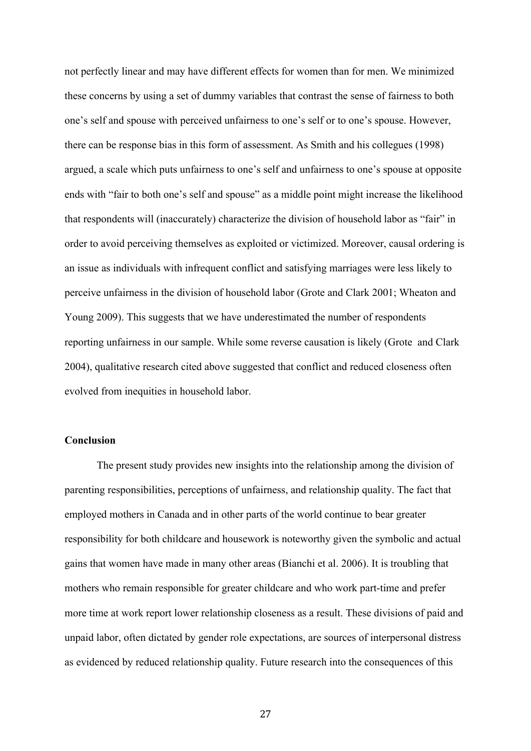not perfectly linear and may have different effects for women than for men. We minimized these concerns by using a set of dummy variables that contrast the sense of fairness to both one's self and spouse with perceived unfairness to one's self or to one's spouse. However, there can be response bias in this form of assessment. As Smith and his collegues (1998) argued, a scale which puts unfairness to one's self and unfairness to one's spouse at opposite ends with "fair to both one's self and spouse" as a middle point might increase the likelihood that respondents will (inaccurately) characterize the division of household labor as "fair" in order to avoid perceiving themselves as exploited or victimized. Moreover, causal ordering is an issue as individuals with infrequent conflict and satisfying marriages were less likely to perceive unfairness in the division of household labor (Grote and Clark 2001; Wheaton and Young 2009). This suggests that we have underestimated the number of respondents reporting unfairness in our sample. While some reverse causation is likely (Grote and Clark 2004), qualitative research cited above suggested that conflict and reduced closeness often evolved from inequities in household labor.

### **Conclusion**

The present study provides new insights into the relationship among the division of parenting responsibilities, perceptions of unfairness, and relationship quality. The fact that employed mothers in Canada and in other parts of the world continue to bear greater responsibility for both childcare and housework is noteworthy given the symbolic and actual gains that women have made in many other areas (Bianchi et al. 2006). It is troubling that mothers who remain responsible for greater childcare and who work part-time and prefer more time at work report lower relationship closeness as a result. These divisions of paid and unpaid labor, often dictated by gender role expectations, are sources of interpersonal distress as evidenced by reduced relationship quality. Future research into the consequences of this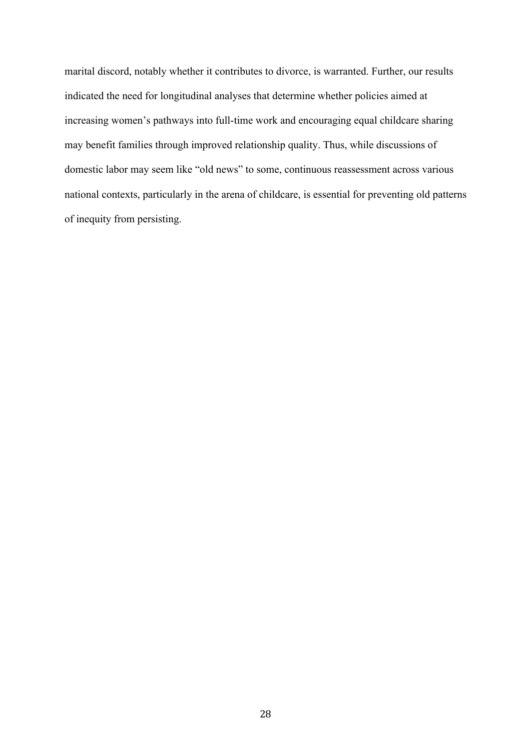marital discord, notably whether it contributes to divorce, is warranted. Further, our results indicated the need for longitudinal analyses that determine whether policies aimed at increasing women's pathways into full-time work and encouraging equal childcare sharing may benefit families through improved relationship quality. Thus, while discussions of domestic labor may seem like "old news" to some, continuous reassessment across various national contexts, particularly in the arena of childcare, is essential for preventing old patterns of inequity from persisting.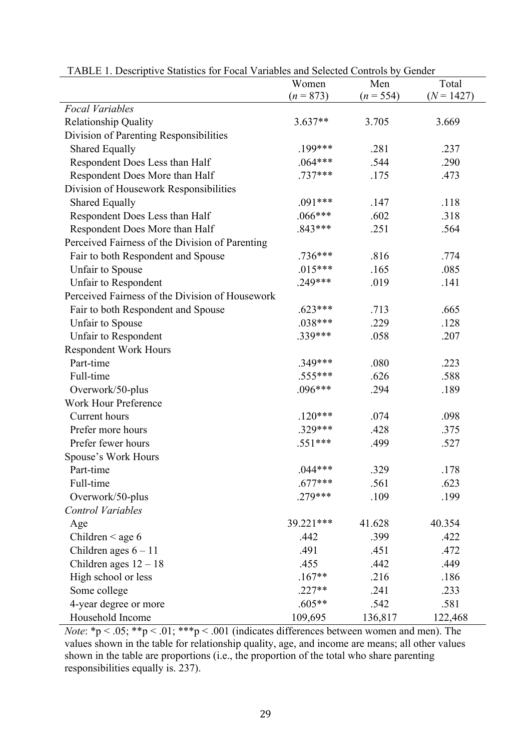| There is Descriptive Statistics for I coal variables and Selected Controls of | Women       | Total<br>Men |              |  |
|-------------------------------------------------------------------------------|-------------|--------------|--------------|--|
|                                                                               | $(n = 873)$ | $(n = 554)$  | $(N = 1427)$ |  |
| <b>Focal Variables</b>                                                        |             |              |              |  |
| Relationship Quality                                                          | 3.637**     | 3.705        | 3.669        |  |
| Division of Parenting Responsibilities                                        |             |              |              |  |
| <b>Shared Equally</b>                                                         | .199***     | .281         | .237         |  |
| Respondent Does Less than Half                                                | $.064***$   | .544         | .290         |  |
| Respondent Does More than Half                                                | $.737***$   | .175         | .473         |  |
| Division of Housework Responsibilities                                        |             |              |              |  |
| <b>Shared Equally</b>                                                         | $.091***$   | .147         | .118         |  |
| Respondent Does Less than Half                                                | $.066***$   | .602         | .318         |  |
| Respondent Does More than Half                                                | $.843***$   | .251         | .564         |  |
| Perceived Fairness of the Division of Parenting                               |             |              |              |  |
| Fair to both Respondent and Spouse                                            | .736***     | .816         | .774         |  |
| Unfair to Spouse                                                              | $.015***$   | .165         | .085         |  |
| Unfair to Respondent                                                          | $.249***$   | .019         | .141         |  |
| Perceived Fairness of the Division of Housework                               |             |              |              |  |
| Fair to both Respondent and Spouse                                            | $.623***$   | .713         | .665         |  |
| Unfair to Spouse                                                              | $.038***$   | .229         | .128         |  |
| Unfair to Respondent                                                          | .339***     | .058         | .207         |  |
| <b>Respondent Work Hours</b>                                                  |             |              |              |  |
| Part-time                                                                     | $.349***$   | .080         | .223         |  |
| Full-time                                                                     | .555***     | .626         | .588         |  |
| Overwork/50-plus                                                              | $.096***$   | .294         | .189         |  |
| <b>Work Hour Preference</b>                                                   |             |              |              |  |
| Current hours                                                                 | $.120***$   | .074         | .098         |  |
| Prefer more hours                                                             | .329***     | .428         | .375         |  |
| Prefer fewer hours                                                            | $.551***$   | .499         | .527         |  |
| Spouse's Work Hours                                                           |             |              |              |  |
| Part-time                                                                     | $.044***$   | .329         | .178         |  |
| Full-time                                                                     | $.677***$   | .561         | .623         |  |
| Overwork/50-plus                                                              | $.279***$   | .109         | .199         |  |
| <b>Control Variables</b>                                                      |             |              |              |  |
| Age                                                                           | 39.221***   | 41.628       | 40.354       |  |
| Children $\leq$ age 6                                                         | .442        | .399         | .422         |  |
| Children ages $6 - 11$                                                        | .491        | .451         | .472         |  |
| Children ages $12 - 18$                                                       | .455        | .442         | .449         |  |
| High school or less                                                           | $.167**$    | .216         | .186         |  |
| Some college                                                                  | $.227**$    | .241         | .233         |  |
| 4-year degree or more                                                         | $.605**$    | .542         | .581         |  |
| Household Income                                                              | 109,695     | 136,817      | 122,468      |  |

| TABLE 1. Descriptive Statistics for Focal Variables and Selected Controls by Gender |  |  |
|-------------------------------------------------------------------------------------|--|--|
|                                                                                     |  |  |

*Note*: \*p < .05; \*\*p < .01; \*\*\*p < .001 (indicates differences between women and men). The values shown in the table for relationship quality, age, and income are means; all other values shown in the table are proportions (i.e., the proportion of the total who share parenting responsibilities equally is. 237).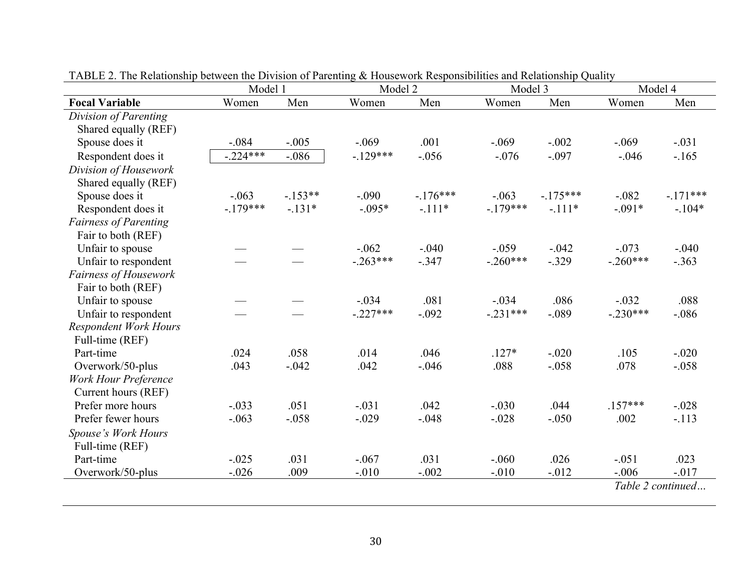|                              | Model 1    |           | Model 2    |           | Model 3    |           |            | Model 4           |
|------------------------------|------------|-----------|------------|-----------|------------|-----------|------------|-------------------|
| <b>Focal Variable</b>        | Women      | Men       | Women      | Men       | Women      | Men       | Women      | Men               |
| Division of Parenting        |            |           |            |           |            |           |            |                   |
| Shared equally (REF)         |            |           |            |           |            |           |            |                   |
| Spouse does it               | $-.084$    | $-.005$   | $-.069$    | .001      | $-.069$    | $-.002$   | $-.069$    | $-.031$           |
| Respondent does it           | $-.224***$ | $-.086$   | $-.129***$ | $-.056$   | $-.076$    | $-.097$   | $-.046$    | $-.165$           |
| Division of Housework        |            |           |            |           |            |           |            |                   |
| Shared equally (REF)         |            |           |            |           |            |           |            |                   |
| Spouse does it               | $-.063$    | $-.153**$ | $-.090$    | $-176***$ | $-.063$    | $-175***$ | $-.082$    | $-.171***$        |
| Respondent does it           | $-.179***$ | $-.131*$  | $-.095*$   | $-.111*$  | $-.179***$ | $-.111*$  | $-.091*$   | $-.104*$          |
| <b>Fairness of Parenting</b> |            |           |            |           |            |           |            |                   |
| Fair to both (REF)           |            |           |            |           |            |           |            |                   |
| Unfair to spouse             |            |           | $-.062$    | $-.040$   | $-.059$    | $-.042$   | $-.073$    | $-.040$           |
| Unfair to respondent         |            |           | $-.263***$ | $-.347$   | $-.260***$ | $-.329$   | $-.260***$ | $-.363$           |
| Fairness of Housework        |            |           |            |           |            |           |            |                   |
| Fair to both (REF)           |            |           |            |           |            |           |            |                   |
| Unfair to spouse             |            |           | $-.034$    | .081      | $-.034$    | .086      | $-.032$    | .088              |
| Unfair to respondent         |            |           | $-.227***$ | $-.092$   | $-.231***$ | $-.089$   | $-.230***$ | $-.086$           |
| <b>Respondent Work Hours</b> |            |           |            |           |            |           |            |                   |
| Full-time (REF)              |            |           |            |           |            |           |            |                   |
| Part-time                    | .024       | .058      | .014       | .046      | $.127*$    | $-.020$   | .105       | $-.020$           |
| Overwork/50-plus             | .043       | $-.042$   | .042       | $-.046$   | .088       | $-.058$   | .078       | $-.058$           |
| <b>Work Hour Preference</b>  |            |           |            |           |            |           |            |                   |
| Current hours (REF)          |            |           |            |           |            |           |            |                   |
| Prefer more hours            | $-.033$    | .051      | $-.031$    | .042      | $-.030$    | .044      | $.157***$  | $-.028$           |
| Prefer fewer hours           | $-.063$    | $-.058$   | $-.029$    | $-.048$   | $-.028$    | $-.050$   | .002       | $-.113$           |
| Spouse's Work Hours          |            |           |            |           |            |           |            |                   |
| Full-time (REF)              |            |           |            |           |            |           |            |                   |
| Part-time                    | $-.025$    | .031      | $-.067$    | .031      | $-.060$    | .026      | $-.051$    | .023              |
| Overwork/50-plus             | $-.026$    | .009      | $-.010$    | $-.002$   | $-.010$    | $-.012$   | $-.006$    | $-.017$           |
|                              |            |           |            |           |            |           |            | Table 2 continued |
|                              |            |           |            |           |            |           |            |                   |

TABLE 2. The Relationship between the Division of Parenting & Housework Responsibilities and Relationship Quality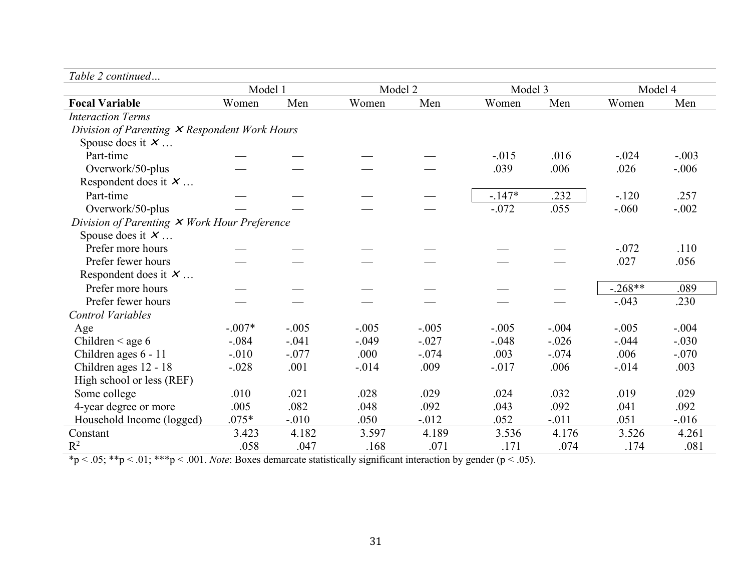| Table 2 continued |
|-------------------|
|                   |

|                                                 | Model 1  |         | Model 2 |          | Model 3  |         | Model 4   |          |
|-------------------------------------------------|----------|---------|---------|----------|----------|---------|-----------|----------|
| <b>Focal Variable</b>                           | Women    | Men     | Women   | Men      | Women    | Men     | Women     | Men      |
| <b>Interaction Terms</b>                        |          |         |         |          |          |         |           |          |
| Division of Parenting $X$ Respondent Work Hours |          |         |         |          |          |         |           |          |
| Spouse does it $X$                              |          |         |         |          |          |         |           |          |
| Part-time                                       |          |         |         |          | $-.015$  | .016    | $-.024$   | $-.003$  |
| Overwork/50-plus                                |          |         |         |          | .039     | .006    | .026      | $-.006$  |
| Respondent does it $X$                          |          |         |         |          |          |         |           |          |
| Part-time                                       |          |         |         |          | $-.147*$ | .232    | $-.120$   | .257     |
| Overwork/50-plus                                |          |         |         |          | $-.072$  | .055    | $-.060$   | $-.002$  |
| Division of Parenting $X$ Work Hour Preference  |          |         |         |          |          |         |           |          |
| Spouse does it $X$                              |          |         |         |          |          |         |           |          |
| Prefer more hours                               |          |         |         |          |          |         | $-.072$   | .110     |
| Prefer fewer hours                              |          |         |         |          |          |         | .027      | .056     |
| Respondent does it $X$                          |          |         |         |          |          |         |           |          |
| Prefer more hours                               |          |         |         |          |          |         | $-.268**$ | .089     |
| Prefer fewer hours                              |          |         |         |          |          |         | $-.043$   | .230     |
| <b>Control Variables</b>                        |          |         |         |          |          |         |           |          |
| Age                                             | $-.007*$ | $-.005$ | $-.005$ | $-.005$  | $-.005$  | $-.004$ | $-.005$   | $-.004$  |
| Children $\leq$ age 6                           | $-.084$  | $-.041$ | $-.049$ | $-.027$  | $-.048$  | $-.026$ | $-.044$   | $-.030$  |
| Children ages 6 - 11                            | $-.010$  | $-.077$ | .000    | $-.074$  | .003     | $-.074$ | .006      | $-.070$  |
| Children ages 12 - 18                           | $-.028$  | .001    | $-.014$ | .009     | $-.017$  | .006    | $-.014$   | .003     |
| High school or less (REF)                       |          |         |         |          |          |         |           |          |
| Some college                                    | .010     | .021    | .028    | .029     | .024     | .032    | .019      | .029     |
| 4-year degree or more                           | .005     | .082    | .048    | .092     | .043     | .092    | .041      | .092     |
| Household Income (logged)                       | $.075*$  | $-.010$ | .050    | $-0.012$ | .052     | $-.011$ | .051      | $-0.016$ |
| Constant                                        | 3.423    | 4.182   | 3.597   | 4.189    | 3.536    | 4.176   | 3.526     | 4.261    |
| $R^2$                                           | .058     | .047    | .168    | .071     | .171     | .074    | .174      | .081     |

\*p < .05; \*\*p < .01; \*\*\*p < .001. *Note*: Boxes demarcate statistically significant interaction by gender (p < .05).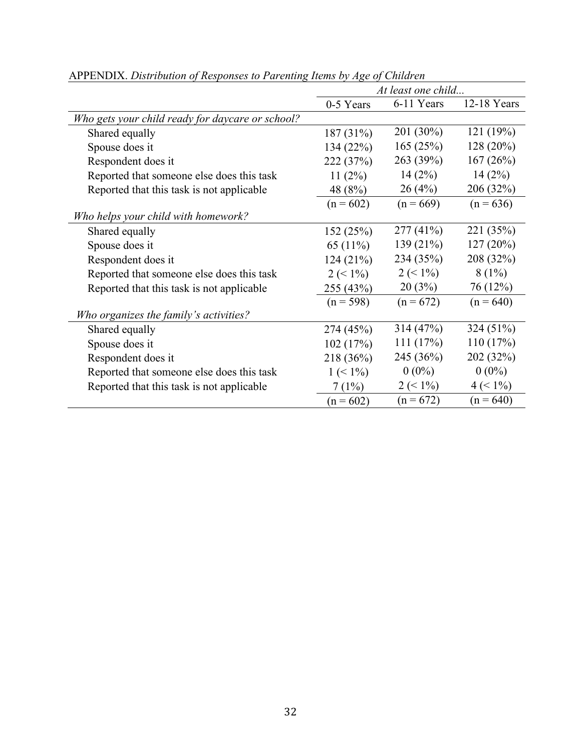|                                                  | At least one child |             |             |  |  |  |
|--------------------------------------------------|--------------------|-------------|-------------|--|--|--|
|                                                  | 0-5 Years          | 6-11 Years  | 12-18 Years |  |  |  |
| Who gets your child ready for daycare or school? |                    |             |             |  |  |  |
| Shared equally                                   | 187 (31%)          | 201 (30%)   | 121(19%)    |  |  |  |
| Spouse does it                                   | 134(22%)           | 165(25%)    | 128 (20%)   |  |  |  |
| Respondent does it                               | 222 (37%)          | 263 (39%)   | 167(26%)    |  |  |  |
| Reported that someone else does this task        | 11(2%)             | 14(2%)      | 14(2%)      |  |  |  |
| Reported that this task is not applicable        | 48 (8%)            | 26(4%)      | 206 (32%)   |  |  |  |
|                                                  | $(n = 602)$        | $(n = 669)$ | $(n = 636)$ |  |  |  |
| Who helps your child with homework?              |                    |             |             |  |  |  |
| Shared equally                                   | 152(25%)           | 277(41%)    | 221 (35%)   |  |  |  |
| Spouse does it                                   | 65 $(11\%)$        | 139(21%)    | 127(20%)    |  |  |  |
| Respondent does it                               | 124(21%)           | 234 (35%)   | 208 (32%)   |  |  |  |
| Reported that someone else does this task        | $2 (< 1\%)$        | $2 (< 1\%)$ | $8(1\%)$    |  |  |  |
| Reported that this task is not applicable        | 255 (43%)          | 20(3%)      | 76 (12%)    |  |  |  |
|                                                  | $(n = 598)$        | $(n = 672)$ | $(n = 640)$ |  |  |  |
| Who organizes the family's activities?           |                    |             |             |  |  |  |
| Shared equally                                   | 274 (45%)          | 314(47%)    | 324 (51%)   |  |  |  |
| Spouse does it                                   | 102(17%)           | 111(17%)    | 110(17%)    |  |  |  |
| Respondent does it                               | 218 (36%)          | 245 (36%)   | 202 (32%)   |  |  |  |
| Reported that someone else does this task        | $1 (< 1\%)$        | $0(0\%)$    | $0(0\%)$    |  |  |  |
| Reported that this task is not applicable        | 7(1%)              | $2 (< 1\%)$ | $4 (< 1\%)$ |  |  |  |
|                                                  | $(n = 602)$        | $(n = 672)$ | $(n = 640)$ |  |  |  |

APPENDIX. *Distribution of Responses to Parenting Items by Age of Children*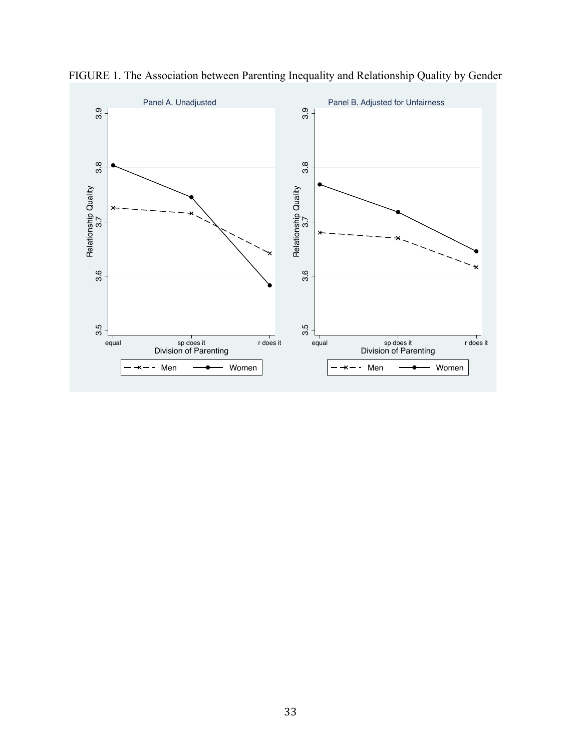

FIGURE 1. The Association between Parenting Inequality and Relationship Quality by Gender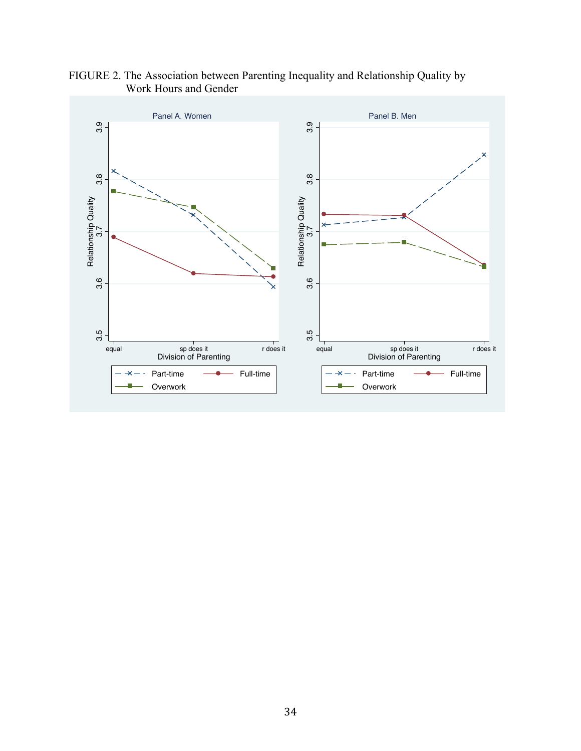

# FIGURE 2. The Association between Parenting Inequality and Relationship Quality by Work Hours and Gender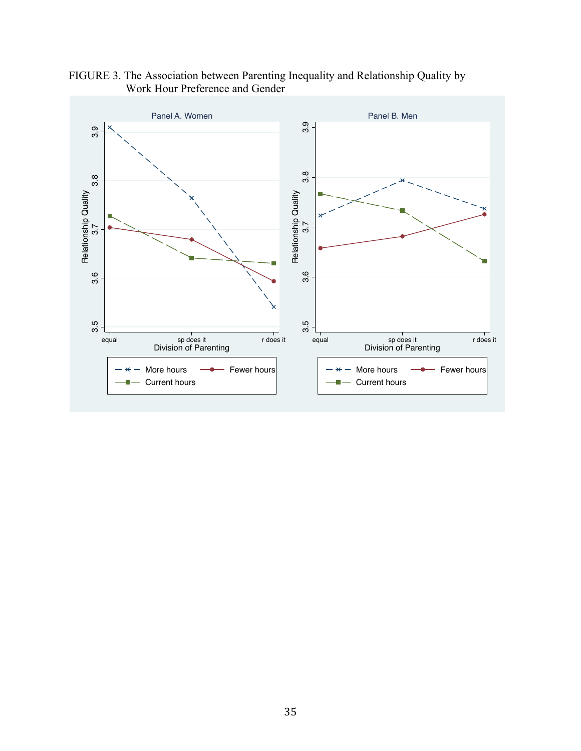

FIGURE 3. The Association between Parenting Inequality and Relationship Quality by Work Hour Preference and Gender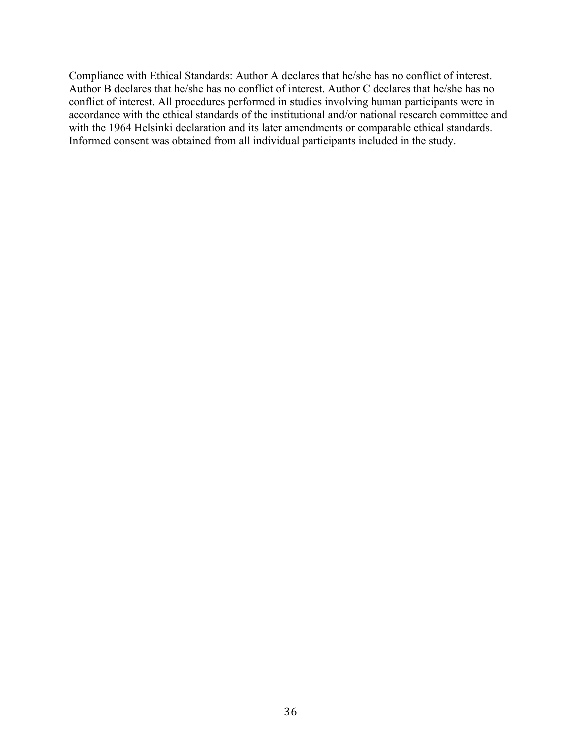Compliance with Ethical Standards: Author A declares that he/she has no conflict of interest. Author B declares that he/she has no conflict of interest. Author C declares that he/she has no conflict of interest. All procedures performed in studies involving human participants were in accordance with the ethical standards of the institutional and/or national research committee and with the 1964 Helsinki declaration and its later amendments or comparable ethical standards. Informed consent was obtained from all individual participants included in the study.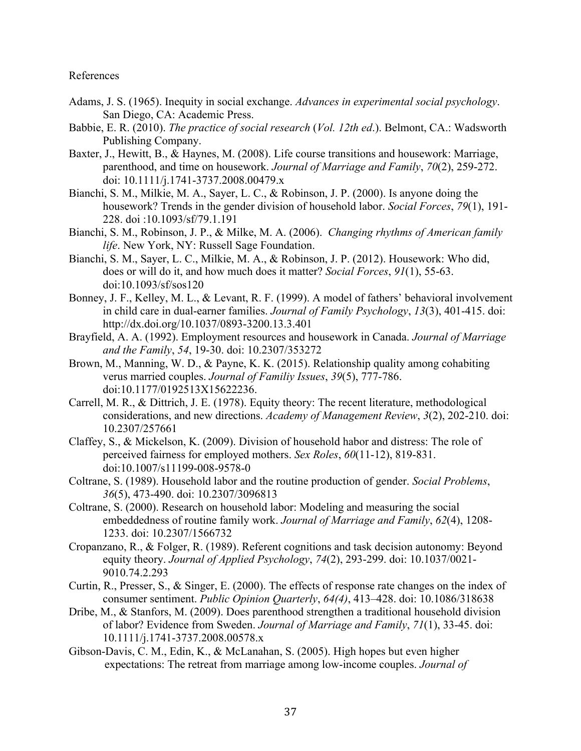### References

- Adams, J. S. (1965). Inequity in social exchange. *Advances in experimental social psychology*. San Diego, CA: Academic Press.
- Babbie, E. R. (2010). *The practice of social research* (*Vol. 12th ed*.). Belmont, CA.: Wadsworth Publishing Company.
- Baxter, J., Hewitt, B., & Haynes, M. (2008). Life course transitions and housework: Marriage, parenthood, and time on housework. *Journal of Marriage and Family*, *70*(2), 259-272. doi: 10.1111/j.1741-3737.2008.00479.x
- Bianchi, S. M., Milkie, M. A., Sayer, L. C., & Robinson, J. P. (2000). Is anyone doing the housework? Trends in the gender division of household labor. *Social Forces*, *79*(1), 191- 228. doi :10.1093/sf/79.1.191
- Bianchi, S. M., Robinson, J. P., & Milke, M. A. (2006). *Changing rhythms of American family life*. New York, NY: Russell Sage Foundation.
- Bianchi, S. M., Sayer, L. C., Milkie, M. A., & Robinson, J. P. (2012). Housework: Who did, does or will do it, and how much does it matter? *Social Forces*, *91*(1), 55-63. doi:10.1093/sf/sos120
- Bonney, J. F., Kelley, M. L., & Levant, R. F. (1999). A model of fathers' behavioral involvement in child care in dual-earner families. *Journal of Family Psychology*, *13*(3), 401-415. doi: http://dx.doi.org/10.1037/0893-3200.13.3.401
- Brayfield, A. A. (1992). Employment resources and housework in Canada. *Journal of Marriage and the Family*, *54*, 19-30. doi: 10.2307/353272
- Brown, M., Manning, W. D., & Payne, K. K. (2015). Relationship quality among cohabiting verus married couples. *Journal of Familiy Issues*, *39*(5), 777-786. doi:10.1177/0192513X15622236.
- Carrell, M. R., & Dittrich, J. E. (1978). Equity theory: The recent literature, methodological considerations, and new directions. *Academy of Management Review*, *3*(2), 202-210. doi: 10.2307/257661
- Claffey, S., & Mickelson, K. (2009). Division of household habor and distress: The role of perceived fairness for employed mothers. *Sex Roles*, *60*(11-12), 819-831. doi:10.1007/s11199-008-9578-0
- Coltrane, S. (1989). Household labor and the routine production of gender. *Social Problems*, *36*(5), 473-490. doi: 10.2307/3096813
- Coltrane, S. (2000). Research on household labor: Modeling and measuring the social embeddedness of routine family work. *Journal of Marriage and Family*, *62*(4), 1208- 1233. doi: 10.2307/1566732
- Cropanzano, R., & Folger, R. (1989). Referent cognitions and task decision autonomy: Beyond equity theory. *Journal of Applied Psychology*, *74*(2), 293-299. doi: 10.1037/0021- 9010.74.2.293
- Curtin, R., Presser, S., & Singer, E. (2000). The effects of response rate changes on the index of consumer sentiment. *Public Opinion Quarterly*, *64(4)*, 413–428. doi: 10.1086/318638
- Dribe, M., & Stanfors, M. (2009). Does parenthood strengthen a traditional household division of labor? Evidence from Sweden. *Journal of Marriage and Family*, *71*(1), 33-45. doi: 10.1111/j.1741-3737.2008.00578.x
- Gibson-Davis, C. M., Edin, K., & McLanahan, S. (2005). High hopes but even higher expectations: The retreat from marriage among low-income couples. *Journal of*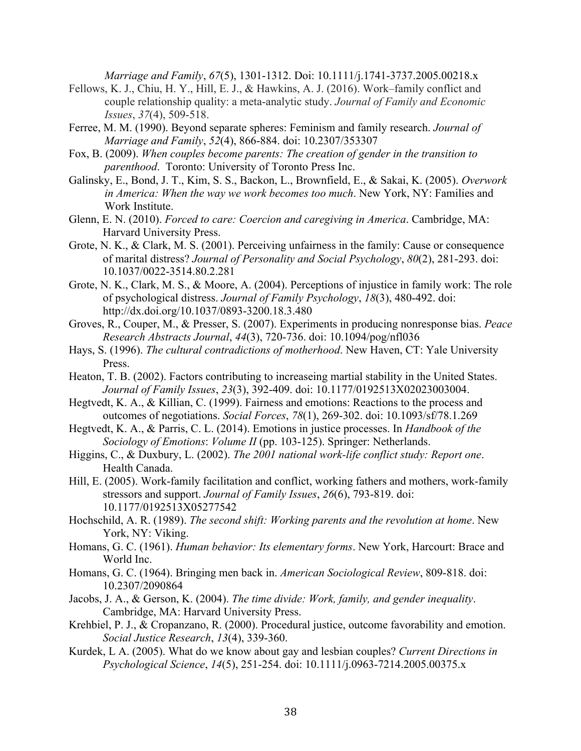*Marriage and Family*, *67*(5), 1301-1312. Doi: 10.1111/j.1741-3737.2005.00218.x

- Fellows, K. J., Chiu, H. Y., Hill, E. J., & Hawkins, A. J. (2016). Work–family conflict and couple relationship quality: a meta-analytic study. *Journal of Family and Economic Issues*, *37*(4), 509-518.
- Ferree, M. M. (1990). Beyond separate spheres: Feminism and family research. *Journal of Marriage and Family*, *52*(4), 866-884. doi: 10.2307/353307
- Fox, B. (2009). *When couples become parents: The creation of gender in the transition to parenthood*. Toronto: University of Toronto Press Inc.
- Galinsky, E., Bond, J. T., Kim, S. S., Backon, L., Brownfield, E., & Sakai, K. (2005). *Overwork in America: When the way we work becomes too much*. New York, NY: Families and Work Institute.
- Glenn, E. N. (2010). *Forced to care: Coercion and caregiving in America*. Cambridge, MA: Harvard University Press.
- Grote, N. K., & Clark, M. S. (2001). Perceiving unfairness in the family: Cause or consequence of marital distress? *Journal of Personality and Social Psychology*, *80*(2), 281-293. doi: 10.1037/0022-3514.80.2.281
- Grote, N. K., Clark, M. S., & Moore, A. (2004). Perceptions of injustice in family work: The role of psychological distress. *Journal of Family Psychology*, *18*(3), 480-492. doi: http://dx.doi.org/10.1037/0893-3200.18.3.480
- Groves, R., Couper, M., & Presser, S. (2007). Experiments in producing nonresponse bias. *Peace Research Abstracts Journal*, *44*(3), 720-736. doi: 10.1094/pog/nfl036
- Hays, S. (1996). *The cultural contradictions of motherhood*. New Haven, CT: Yale University Press.
- Heaton, T. B. (2002). Factors contributing to increaseing martial stability in the United States. *Journal of Family Issues*, *23*(3), 392-409. doi: 10.1177/0192513X02023003004.
- Hegtvedt, K. A., & Killian, C. (1999). Fairness and emotions: Reactions to the process and outcomes of negotiations. *Social Forces*, *78*(1), 269-302. doi: 10.1093/sf/78.1.269
- Hegtvedt, K. A., & Parris, C. L. (2014). Emotions in justice processes. In *Handbook of the Sociology of Emotions*: *Volume II* (pp. 103-125). Springer: Netherlands.
- Higgins, C., & Duxbury, L. (2002). *The 2001 national work-life conflict study: Report one*. Health Canada.
- Hill, E. (2005). Work-family facilitation and conflict, working fathers and mothers, work-family stressors and support. *Journal of Family Issues*, *26*(6), 793-819. doi: 10.1177/0192513X05277542
- Hochschild, A. R. (1989). *The second shift: Working parents and the revolution at home*. New York, NY: Viking.
- Homans, G. C. (1961). *Human behavior: Its elementary forms*. New York, Harcourt: Brace and World Inc.
- Homans, G. C. (1964). Bringing men back in. *American Sociological Review*, 809-818. doi: 10.2307/2090864
- Jacobs, J. A., & Gerson, K. (2004). *The time divide: Work, family, and gender inequality*. Cambridge, MA: Harvard University Press.
- Krehbiel, P. J., & Cropanzano, R. (2000). Procedural justice, outcome favorability and emotion. *Social Justice Research*, *13*(4), 339-360.
- Kurdek, L A. (2005). What do we know about gay and lesbian couples? *Current Directions in Psychological Science*, *14*(5), 251-254. doi: 10.1111/j.0963-7214.2005.00375.x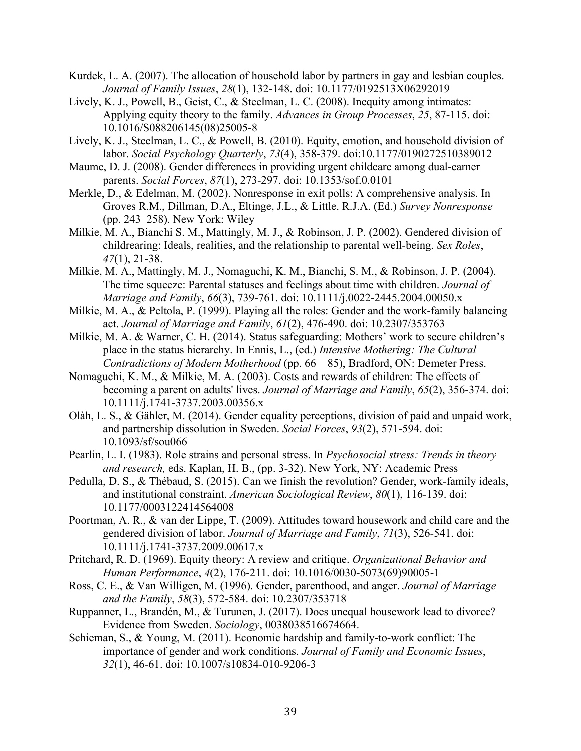- Kurdek, L. A. (2007). The allocation of household labor by partners in gay and lesbian couples. *Journal of Family Issues*, *28*(1), 132-148. doi: 10.1177/0192513X06292019
- Lively, K. J., Powell, B., Geist, C., & Steelman, L. C. (2008). Inequity among intimates: Applying equity theory to the family. *Advances in Group Processes*, *25*, 87-115. doi: 10.1016/S088206145(08)25005-8
- Lively, K. J., Steelman, L. C., & Powell, B. (2010). Equity, emotion, and household division of labor. *Social Psychology Quarterly*, *73*(4), 358-379. doi:10.1177/0190272510389012
- Maume, D. J. (2008). Gender differences in providing urgent childcare among dual-earner parents. *Social Forces*, *87*(1), 273-297. doi: 10.1353/sof.0.0101
- Merkle, D., & Edelman, M. (2002). Nonresponse in exit polls: A comprehensive analysis. In Groves R.M., Dillman, D.A., Eltinge, J.L., & Little. R.J.A. (Ed.) *Survey Nonresponse* (pp. 243–258). New York: Wiley
- Milkie, M. A., Bianchi S. M., Mattingly, M. J., & Robinson, J. P. (2002). Gendered division of childrearing: Ideals, realities, and the relationship to parental well-being. *Sex Roles*, *47*(1), 21-38.
- Milkie, M. A., Mattingly, M. J., Nomaguchi, K. M., Bianchi, S. M., & Robinson, J. P. (2004). The time squeeze: Parental statuses and feelings about time with children. *Journal of Marriage and Family*, *66*(3), 739-761. doi: 10.1111/j.0022-2445.2004.00050.x
- Milkie, M. A., & Peltola, P. (1999). Playing all the roles: Gender and the work-family balancing act. *Journal of Marriage and Family*, *61*(2), 476-490. doi: 10.2307/353763
- Milkie, M. A. & Warner, C. H. (2014). Status safeguarding: Mothers' work to secure children's place in the status hierarchy. In Ennis, L., (ed.) *Intensive Mothering: The Cultural Contradictions of Modern Motherhood* (pp. 66 – 85), Bradford, ON: Demeter Press.
- Nomaguchi, K. M., & Milkie, M. A. (2003). Costs and rewards of children: The effects of becoming a parent on adults' lives. *Journal of Marriage and Family*, *65*(2), 356-374. doi: 10.1111/j.1741-3737.2003.00356.x
- Olàh, L. S., & Gähler, M. (2014). Gender equality perceptions, division of paid and unpaid work, and partnership dissolution in Sweden. *Social Forces*, *93*(2), 571-594. doi: 10.1093/sf/sou066
- Pearlin, L. I. (1983). Role strains and personal stress. In *Psychosocial stress: Trends in theory and research,* eds. Kaplan, H. B., (pp. 3-32). New York, NY: Academic Press
- Pedulla, D. S., & Thébaud, S. (2015). Can we finish the revolution? Gender, work-family ideals, and institutional constraint. *American Sociological Review*, *80*(1), 116-139. doi: 10.1177/0003122414564008
- Poortman, A. R., & van der Lippe, T. (2009). Attitudes toward housework and child care and the gendered division of labor. *Journal of Marriage and Family*, *71*(3), 526-541. doi: 10.1111/j.1741-3737.2009.00617.x
- Pritchard, R. D. (1969). Equity theory: A review and critique. *Organizational Behavior and Human Performance*, *4*(2), 176-211. doi: 10.1016/0030-5073(69)90005-1
- Ross, C. E., & Van Willigen, M. (1996). Gender, parenthood, and anger. *Journal of Marriage and the Family*, *58*(3), 572-584. doi: 10.2307/353718
- Ruppanner, L., Brandén, M., & Turunen, J. (2017). Does unequal housework lead to divorce? Evidence from Sweden. *Sociology*, 0038038516674664.
- Schieman, S., & Young, M. (2011). Economic hardship and family-to-work conflict: The importance of gender and work conditions. *Journal of Family and Economic Issues*, *32*(1), 46-61. doi: 10.1007/s10834-010-9206-3